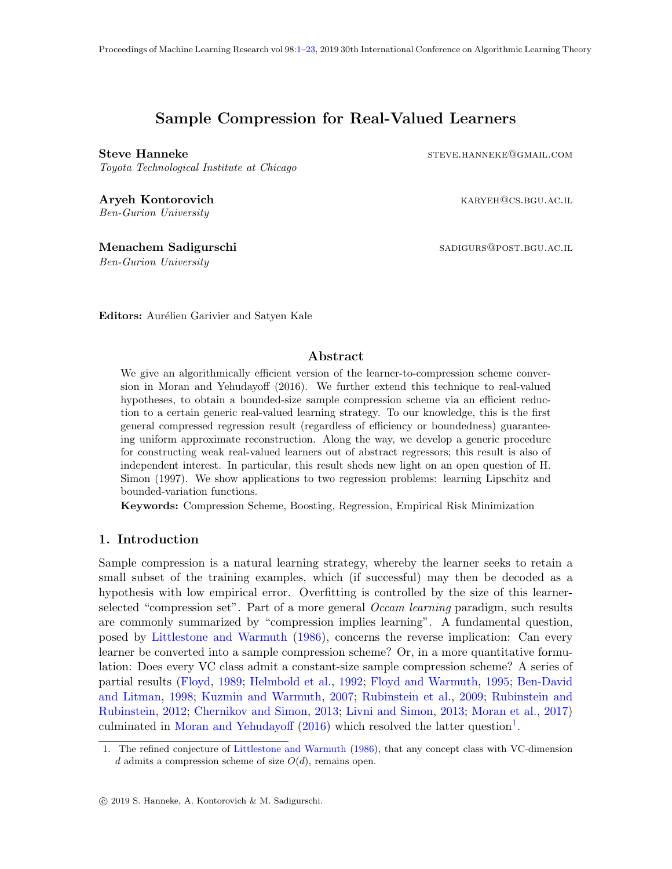# Sample Compression for Real-Valued Learners

<span id="page-0-0"></span>

Toyota Technological Institute at Chicago

Aryeh Kontorovich **Karyeh Kontorovich** karyeh@cs.bgu.ac.il Ben-Gurion University

Menachem Sadigurschi sabigurschi sabigurs@post.bgu.ac.il

Ben-Gurion University

Steve Hanneke steve and steve and steve and steve and steve and steve and steve and steve and steve and steve

Editors: Aurélien Garivier and Satyen Kale

## Abstract

We give an algorithmically efficient version of the learner-to-compression scheme conversion in Moran and Yehudayoff (2016). We further extend this technique to real-valued hypotheses, to obtain a bounded-size sample compression scheme via an efficient reduction to a certain generic real-valued learning strategy. To our knowledge, this is the first general compressed regression result (regardless of efficiency or boundedness) guaranteeing uniform approximate reconstruction. Along the way, we develop a generic procedure for constructing weak real-valued learners out of abstract regressors; this result is also of independent interest. In particular, this result sheds new light on an open question of H. Simon (1997). We show applications to two regression problems: learning Lipschitz and bounded-variation functions.

Keywords: Compression Scheme, Boosting, Regression, Empirical Risk Minimization

## 1. Introduction

Sample compression is a natural learning strategy, whereby the learner seeks to retain a small subset of the training examples, which (if successful) may then be decoded as a hypothesis with low empirical error. Overfitting is controlled by the size of this learnerselected "compression set". Part of a more general  $Occam learning$  paradigm, such results are commonly summarized by "compression implies learning". A fundamental question, posed by [Littlestone and Warmuth](#page-16-0) [\(1986\)](#page-16-0), concerns the reverse implication: Can every learner be converted into a sample compression scheme? Or, in a more quantitative formulation: Does every VC class admit a constant-size sample compression scheme? A series of partial results [\(Floyd,](#page-15-0) [1989;](#page-15-0) [Helmbold et al.,](#page-16-1) [1992;](#page-16-1) [Floyd and Warmuth,](#page-15-1) [1995;](#page-15-1) [Ben-David](#page-14-0) [and Litman,](#page-14-0) [1998;](#page-14-0) [Kuzmin and Warmuth,](#page-16-2) [2007;](#page-16-2) [Rubinstein et al.,](#page-17-0) [2009;](#page-17-0) [Rubinstein and](#page-17-1) [Rubinstein,](#page-17-1) [2012;](#page-17-1) [Chernikov and Simon,](#page-14-1) [2013;](#page-14-1) [Livni and Simon,](#page-16-3) [2013;](#page-16-3) [Moran et al.,](#page-17-2) [2017\)](#page-17-2) culminated in [Moran and Yehudayoff](#page-17-3) [\(2016\)](#page-17-3) which resolved the latter question<sup>[1](#page-0-1)</sup>.

<span id="page-0-1"></span><sup>1.</sup> The refined conjecture of [Littlestone and Warmuth](#page-16-0) [\(1986\)](#page-16-0), that any concept class with VC-dimension d admits a compression scheme of size  $O(d)$ , remains open.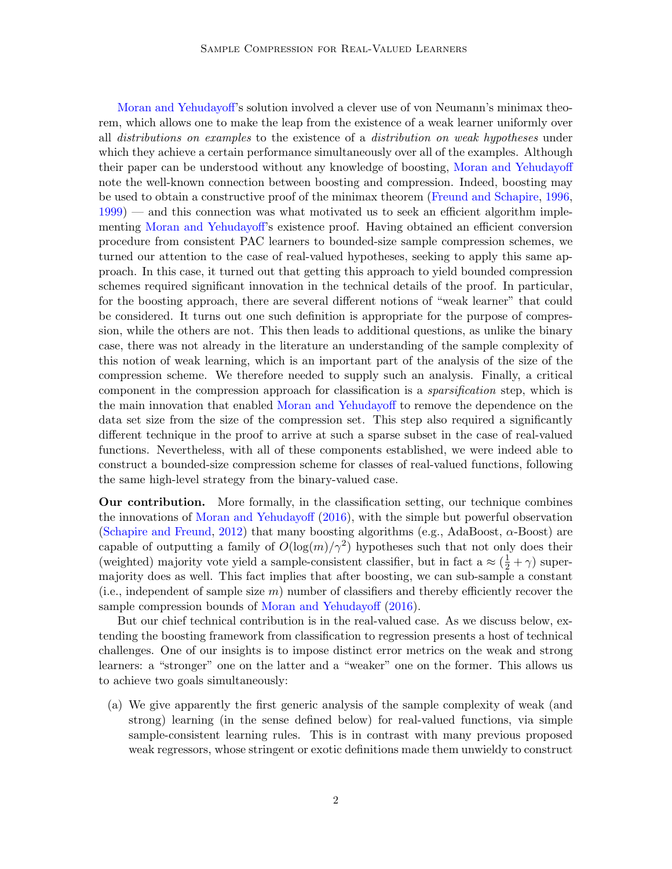[Moran and Yehudayoff'](#page-17-3)s solution involved a clever use of von Neumann's minimax theorem, which allows one to make the leap from the existence of a weak learner uniformly over all distributions on examples to the existence of a distribution on weak hypotheses under which they achieve a certain performance simultaneously over all of the examples. Although their paper can be understood without any knowledge of boosting, [Moran and Yehudayoff](#page-17-3) note the well-known connection between boosting and compression. Indeed, boosting may be used to obtain a constructive proof of the minimax theorem [\(Freund and Schapire,](#page-15-2) [1996,](#page-15-2) [1999\)](#page-15-3) — and this connection was what motivated us to seek an efficient algorithm implementing [Moran and Yehudayoff'](#page-17-3)s existence proof. Having obtained an efficient conversion procedure from consistent PAC learners to bounded-size sample compression schemes, we turned our attention to the case of real-valued hypotheses, seeking to apply this same approach. In this case, it turned out that getting this approach to yield bounded compression schemes required significant innovation in the technical details of the proof. In particular, for the boosting approach, there are several different notions of "weak learner" that could be considered. It turns out one such definition is appropriate for the purpose of compression, while the others are not. This then leads to additional questions, as unlike the binary case, there was not already in the literature an understanding of the sample complexity of this notion of weak learning, which is an important part of the analysis of the size of the compression scheme. We therefore needed to supply such an analysis. Finally, a critical component in the compression approach for classification is a sparsification step, which is the main innovation that enabled [Moran and Yehudayoff](#page-17-3) to remove the dependence on the data set size from the size of the compression set. This step also required a significantly different technique in the proof to arrive at such a sparse subset in the case of real-valued functions. Nevertheless, with all of these components established, we were indeed able to construct a bounded-size compression scheme for classes of real-valued functions, following the same high-level strategy from the binary-valued case.

Our contribution. More formally, in the classification setting, our technique combines the innovations of [Moran and Yehudayoff](#page-17-3) [\(2016\)](#page-17-3), with the simple but powerful observation [\(Schapire and Freund,](#page-17-4) [2012\)](#page-17-4) that many boosting algorithms (e.g., AdaBoost,  $\alpha$ -Boost) are capable of outputting a family of  $O(\log(m)/\gamma^2)$  hypotheses such that not only does their (weighted) majority vote yield a sample-consistent classifier, but in fact a  $\approx (\frac{1}{2} + \gamma)$  supermajority does as well. This fact implies that after boosting, we can sub-sample a constant (i.e., independent of sample size  $m$ ) number of classifiers and thereby efficiently recover the sample compression bounds of [Moran and Yehudayoff](#page-17-3) [\(2016\)](#page-17-3).

But our chief technical contribution is in the real-valued case. As we discuss below, extending the boosting framework from classification to regression presents a host of technical challenges. One of our insights is to impose distinct error metrics on the weak and strong learners: a "stronger" one on the latter and a "weaker" one on the former. This allows us to achieve two goals simultaneously:

(a) We give apparently the first generic analysis of the sample complexity of weak (and strong) learning (in the sense defined below) for real-valued functions, via simple sample-consistent learning rules. This is in contrast with many previous proposed weak regressors, whose stringent or exotic definitions made them unwieldy to construct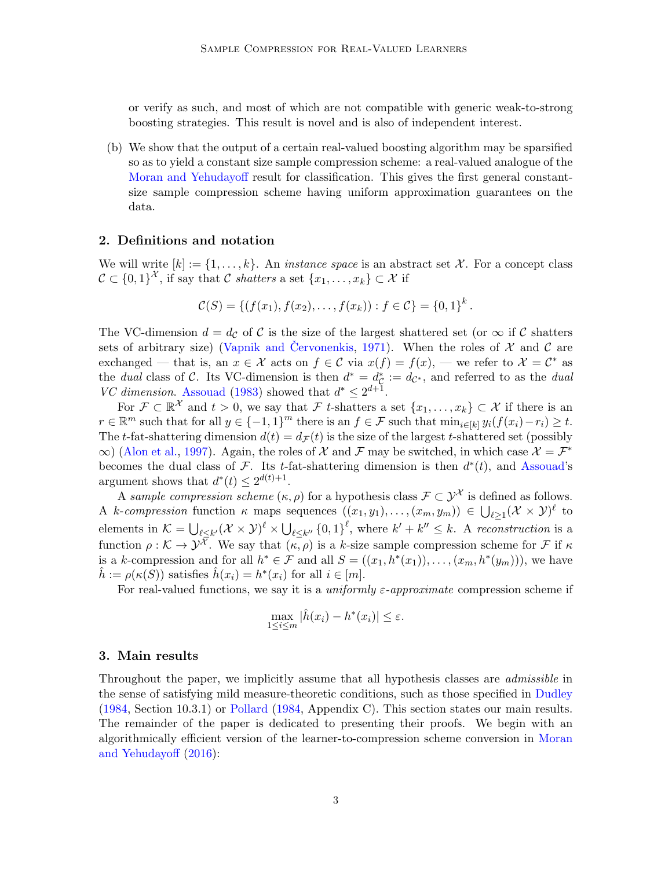or verify as such, and most of which are not compatible with generic weak-to-strong boosting strategies. This result is novel and is also of independent interest.

(b) We show that the output of a certain real-valued boosting algorithm may be sparsified so as to yield a constant size sample compression scheme: a real-valued analogue of the [Moran and Yehudayoff](#page-17-3) result for classification. This gives the first general constantsize sample compression scheme having uniform approximation guarantees on the data.

## 2. Definitions and notation

We will write  $[k] := \{1, \ldots, k\}$ . An *instance space* is an abstract set X. For a concept class  $\mathcal{C} \subset \{0,1\}^{\mathcal{X}},$  if say that C shatters a set  $\{x_1, \ldots, x_k\} \subset \mathcal{X}$  if

$$
C(S) = \{ (f(x_1), f(x_2), \ldots, f(x_k)) : f \in C \} = \{0,1\}^k.
$$

The VC-dimension  $d = d_{\mathcal{C}}$  of C is the size of the largest shattered set (or  $\infty$  if C shatters sets of arbitrary size) (Vapnik and [Cervonenkis](#page-18-0), [1971\)](#page-18-0). When the roles of  $\mathcal X$  and  $\mathcal C$  are exchanged — that is, an  $x \in \mathcal{X}$  acts on  $f \in \mathcal{C}$  via  $x(f) = f(x)$ , — we refer to  $\mathcal{X} = \mathcal{C}^*$  as the dual class of C. Its VC-dimension is then  $d^* = d_{\mathcal{C}}^* := d_{\mathcal{C}^*}$ , and referred to as the dual VC dimension. [Assouad](#page-14-2) [\(1983\)](#page-14-2) showed that  $d^* \leq 2^{d+1}$ .

For  $\mathcal{F} \subset \mathbb{R}^{\mathcal{X}}$  and  $t > 0$ , we say that  $\mathcal{F}$  t-shatters a set  $\{x_1, \ldots, x_k\} \subset \mathcal{X}$  if there is an  $r \in \mathbb{R}^m$  such that for all  $y \in \{-1,1\}^m$  there is an  $f \in \mathcal{F}$  such that  $\min_{i \in [k]} y_i(f(x_i) - r_i) \ge t$ . The t-fat-shattering dimension  $d(t) = d_{\mathcal{F}}(t)$  is the size of the largest t-shattered set (possibly  $\infty$ ) [\(Alon et al.,](#page-13-0) [1997\)](#page-13-0). Again, the roles of X and F may be switched, in which case  $\mathcal{X} = \mathcal{F}^*$ becomes the dual class of F. Its t-fat-shattering dimension is then  $d^*(t)$ , and [Assouad'](#page-14-2)s argument shows that  $d^*(t) \leq 2^{d(t)+1}$ .

A sample compression scheme  $(\kappa, \rho)$  for a hypothesis class  $\mathcal{F} \subset \mathcal{Y}^{\mathcal{X}}$  is defined as follows. A k-compression function  $\kappa$  maps sequences  $((x_1, y_1), \ldots, (x_m, y_m)) \in \bigcup_{\ell \geq 1} (\mathcal{X} \times \mathcal{Y})^{\ell}$  to elements in  $\mathcal{K} = \bigcup_{\ell \leq k'} (\mathcal{X} \times \mathcal{Y})^{\ell} \times \bigcup_{\ell \leq k''} \{0,1\}^{\ell}$ , where  $k' + k'' \leq k$ . A reconstruction is a function  $\rho : \mathcal{K} \to \mathcal{Y}^{\overline{\mathcal{X}}}$ . We say that  $\overline{K, \rho}$  is a k-size sample compression scheme for  $\mathcal{F}$  if  $\kappa$ is a k-compression and for all  $h^* \in \mathcal{F}$  and all  $S = ((x_1, h^*(x_1)), \ldots, (x_m, h^*(y_m)))$ , we have  $\hat{h} := \rho(\kappa(S))$  satisfies  $\hat{h}(x_i) = h^*(x_i)$  for all  $i \in [m]$ .

For real-valued functions, we say it is a *uniformly*  $\varepsilon$ *-approximate* compression scheme if

$$
\max_{1 \leq i \leq m} |\hat{h}(x_i) - h^*(x_i)| \leq \varepsilon.
$$

#### 3. Main results

<span id="page-2-0"></span>Throughout the paper, we implicitly assume that all hypothesis classes are admissible in the sense of satisfying mild measure-theoretic conditions, such as those specified in [Dudley](#page-14-3) [\(1984,](#page-14-3) Section 10.3.1) or [Pollard](#page-17-5) [\(1984,](#page-17-5) Appendix C). This section states our main results. The remainder of the paper is dedicated to presenting their proofs. We begin with an algorithmically efficient version of the learner-to-compression scheme conversion in [Moran](#page-17-3) [and Yehudayoff](#page-17-3) [\(2016\)](#page-17-3):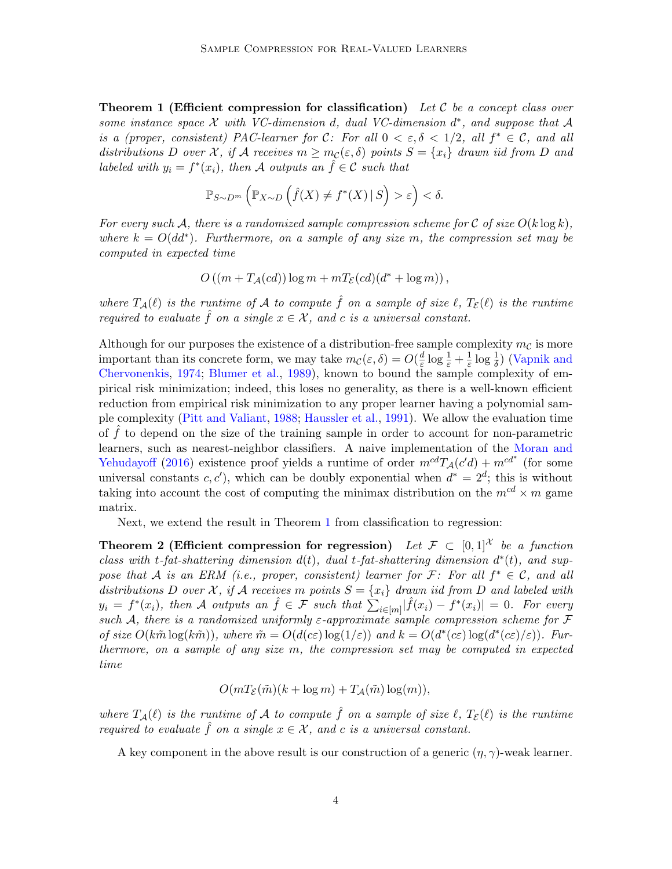**Theorem 1 (Efficient compression for classification)** Let C be a concept class over some instance space  $\mathcal X$  with VC-dimension d, dual VC-dimension  $d^*$ , and suppose that  $\mathcal A$ is a (proper, consistent) PAC-learner for C: For all  $0 < \varepsilon, \delta < 1/2$ , all  $f^* \in \mathcal{C}$ , and all distributions D over X, if A receives  $m \geq m_{\mathcal{C}}(\varepsilon, \delta)$  points  $S = \{x_i\}$  drawn iid from D and labeled with  $y_i = f^*(x_i)$ , then A outputs an  $\hat{f} \in \mathcal{C}$  such that

$$
\mathbb{P}_{S \sim D^{m}}\left(\mathbb{P}_{X \sim D}\left(\hat{f}(X) \neq f^{*}(X) \,|\, S\right) > \varepsilon\right) < \delta.
$$

For every such A, there is a randomized sample compression scheme for C of size  $O(k \log k)$ , where  $k = O(dd^*)$ . Furthermore, on a sample of any size m, the compression set may be computed in expected time

$$
O((m + TA(cd)) \log m + mTE(cd)(d* + \log m)),
$$

where  $T_A(\ell)$  is the runtime of A to compute  $\hat{f}$  on a sample of size  $\ell$ ,  $T_{\mathcal{E}}(\ell)$  is the runtime required to evaluate  $\hat{f}$  on a single  $x \in \mathcal{X}$ , and c is a universal constant.

Although for our purposes the existence of a distribution-free sample complexity  $m_{\mathcal{C}}$  is more important than its concrete form, we may take  $m_{\mathcal{C}}(\varepsilon, \delta) = O(\frac{d}{\varepsilon})$  $\frac{d}{\varepsilon} \log \frac{1}{\varepsilon} + \frac{1}{\varepsilon}$  $\frac{1}{\varepsilon} \log \frac{1}{\delta}$ ) [\(Vapnik and](#page-18-1) [Chervonenkis,](#page-18-1) [1974;](#page-18-1) [Blumer et al.,](#page-14-4) [1989\)](#page-14-4), known to bound the sample complexity of empirical risk minimization; indeed, this loses no generality, as there is a well-known efficient reduction from empirical risk minimization to any proper learner having a polynomial sample complexity [\(Pitt and Valiant,](#page-17-6) [1988;](#page-17-6) [Haussler et al.,](#page-16-4) [1991\)](#page-16-4). We allow the evaluation time of  $\hat{f}$  to depend on the size of the training sample in order to account for non-parametric learners, such as nearest-neighbor classifiers. A naive implementation of the [Moran and](#page-17-3) [Yehudayoff](#page-17-3) [\(2016\)](#page-17-3) existence proof yields a runtime of order  $m^{cd}T_A(c'd) + m^{cd^*}$  (for some universal constants  $c, c'$ , which can be doubly exponential when  $d^* = 2^d$ ; this is without taking into account the cost of computing the minimax distribution on the  $m^{cd} \times m$  game matrix.

Next, we extend the result in Theorem [1](#page-2-0) from classification to regression:

Theorem 2 (Efficient compression for regression) Let  $\mathcal{F} \subset [0,1]^{\mathcal{X}}$  be a function class with t-fat-shattering dimension  $d(t)$ , dual t-fat-shattering dimension  $d^*(t)$ , and suppose that A is an ERM (i.e., proper, consistent) learner for F: For all  $f^* \in \mathcal{C}$ , and all distributions D over X, if A receives m points  $S = \{x_i\}$  drawn iid from D and labeled with  $y_i = f^*(x_i)$ , then A outputs an  $\hat{f} \in \mathcal{F}$  such that  $\sum_{i \in [m]} |\hat{f}(x_i) - f^*(x_i)| = 0$ . For every such A, there is a randomized uniformly  $\varepsilon$ -approximate sample compression scheme for F of size  $O(k\tilde{m} \log(k\tilde{m}))$ , where  $\tilde{m} = O(d(c\varepsilon) \log(1/\varepsilon))$  and  $k = O(d^*(c\varepsilon) \log(d^*(c\varepsilon)/\varepsilon))$ . Furthermore, on a sample of any size m, the compression set may be computed in expected time

<span id="page-3-0"></span>
$$
O(mT_{\mathcal{E}}(\tilde{m})(k + \log m) + T_{\mathcal{A}}(\tilde{m})\log(m)),
$$

where  $T_A(\ell)$  is the runtime of A to compute  $\hat{f}$  on a sample of size  $\ell$ ,  $T_{\mathcal{E}}(\ell)$  is the runtime required to evaluate  $\hat{f}$  on a single  $x \in \mathcal{X}$ , and c is a universal constant.

<span id="page-3-1"></span>A key component in the above result is our construction of a generic  $(\eta, \gamma)$ -weak learner.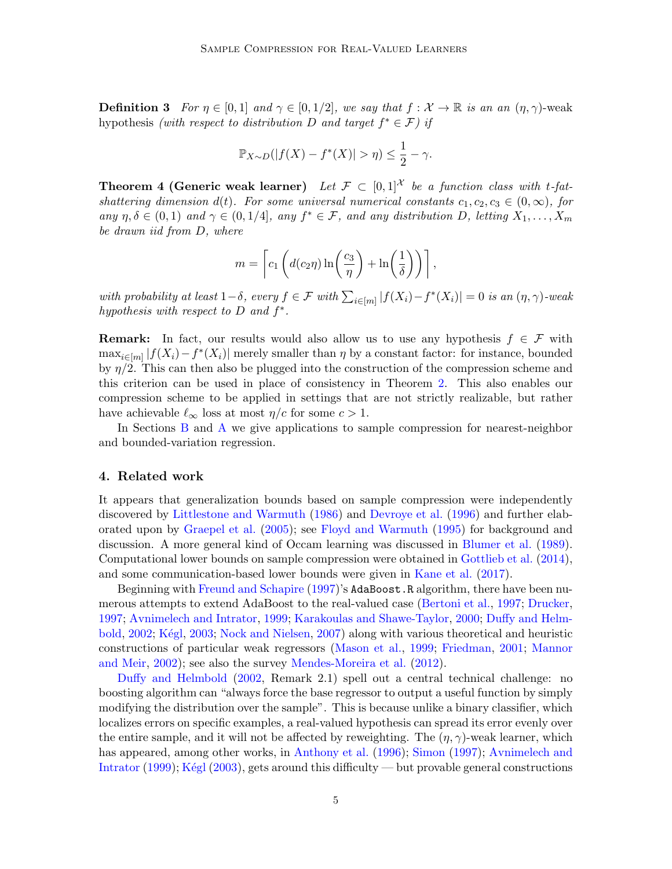**Definition 3** For  $\eta \in [0, 1]$  and  $\gamma \in [0, 1/2]$ , we say that  $f : \mathcal{X} \to \mathbb{R}$  is an an  $(\eta, \gamma)$ -weak hypothesis (with respect to distribution D and target  $f^* \in \mathcal{F}$ ) if

$$
\mathbb{P}_{X \sim D}(|f(X) - f^*(X)| > \eta) \le \frac{1}{2} - \gamma.
$$

<span id="page-4-0"></span>**Theorem 4 (Generic weak learner)** Let  $\mathcal{F} \subset [0,1]^{\mathcal{X}}$  be a function class with t-fatshattering dimension d(t). For some universal numerical constants  $c_1, c_2, c_3 \in (0, \infty)$ , for any  $\eta, \delta \in (0,1)$  and  $\gamma \in (0,1/4]$ , any  $f^* \in \mathcal{F}$ , and any distribution D, letting  $X_1, \ldots, X_m$ be drawn iid from D, where

$$
m = \left[c_1\left(d(c_2\eta)\ln\left(\frac{c_3}{\eta}\right) + \ln\left(\frac{1}{\delta}\right)\right)\right],
$$

with probability at least  $1-\delta$ , every  $f \in \mathcal{F}$  with  $\sum_{i \in [m]} |f(X_i) - f^*(X_i)| = 0$  is an  $(\eta, \gamma)$ -weak hypothesis with respect to  $D$  and  $f^*$ .

**Remark:** In fact, our results would also allow us to use any hypothesis  $f \in \mathcal{F}$  with  $\max_{i \in [m]} |f(X_i) - f^*(X_i)|$  merely smaller than  $\eta$  by a constant factor: for instance, bounded by  $\eta/2$ . This can then also be plugged into the construction of the compression scheme and this criterion can be used in place of consistency in Theorem [2.](#page-3-0) This also enables our compression scheme to be applied in settings that are not strictly realizable, but rather have achievable  $\ell_{\infty}$  loss at most  $\eta/c$  for some  $c > 1$ .

In Sections [B](#page-21-0) and [A](#page-18-2) we give applications to sample compression for nearest-neighbor and bounded-variation regression.

#### 4. Related work

It appears that generalization bounds based on sample compression were independently discovered by [Littlestone and Warmuth](#page-16-0) [\(1986\)](#page-16-0) and [Devroye et al.](#page-14-5) [\(1996\)](#page-14-5) and further elaborated upon by [Graepel et al.](#page-15-4) [\(2005\)](#page-15-4); see [Floyd and Warmuth](#page-15-1) [\(1995\)](#page-15-1) for background and discussion. A more general kind of Occam learning was discussed in [Blumer et al.](#page-14-4) [\(1989\)](#page-14-4). Computational lower bounds on sample compression were obtained in [Gottlieb et al.](#page-15-5) [\(2014\)](#page-15-5), and some communication-based lower bounds were given in [Kane et al.](#page-16-5) [\(2017\)](#page-16-5).

Beginning with [Freund and Schapire](#page-15-6) [\(1997\)](#page-15-6)'s AdaBoost.R algorithm, there have been numerous attempts to extend AdaBoost to the real-valued case [\(Bertoni et al.,](#page-14-6) [1997;](#page-14-6) [Drucker,](#page-14-7) [1997;](#page-14-7) [Avnimelech and Intrator,](#page-14-8) [1999;](#page-14-8) [Karakoulas and Shawe-Taylor,](#page-16-6) [2000;](#page-16-6) [Duffy and Helm](#page-14-9)[bold,](#page-14-9) [2002;](#page-14-9) Kégl, [2003;](#page-16-7) [Nock and Nielsen,](#page-17-7) [2007\)](#page-17-7) along with various theoretical and heuristic constructions of particular weak regressors [\(Mason et al.,](#page-16-8) [1999;](#page-16-8) [Friedman,](#page-15-7) [2001;](#page-15-7) [Mannor](#page-16-9) [and Meir,](#page-16-9) [2002\)](#page-16-9); see also the survey [Mendes-Moreira et al.](#page-17-8) [\(2012\)](#page-17-8).

[Duffy and Helmbold](#page-14-9) [\(2002,](#page-14-9) Remark 2.1) spell out a central technical challenge: no boosting algorithm can "always force the base regressor to output a useful function by simply modifying the distribution over the sample". This is because unlike a binary classifier, which localizes errors on specific examples, a real-valued hypothesis can spread its error evenly over the entire sample, and it will not be affected by reweighting. The  $(\eta, \gamma)$ -weak learner, which has appeared, among other works, in [Anthony et al.](#page-14-10) [\(1996\)](#page-14-10); [Simon](#page-17-9) [\(1997\)](#page-17-9); [Avnimelech and](#page-14-8) [Intrator](#page-14-8) [\(1999\)](#page-14-8); Kégl [\(2003\)](#page-16-7), gets around this difficulty — but provable general constructions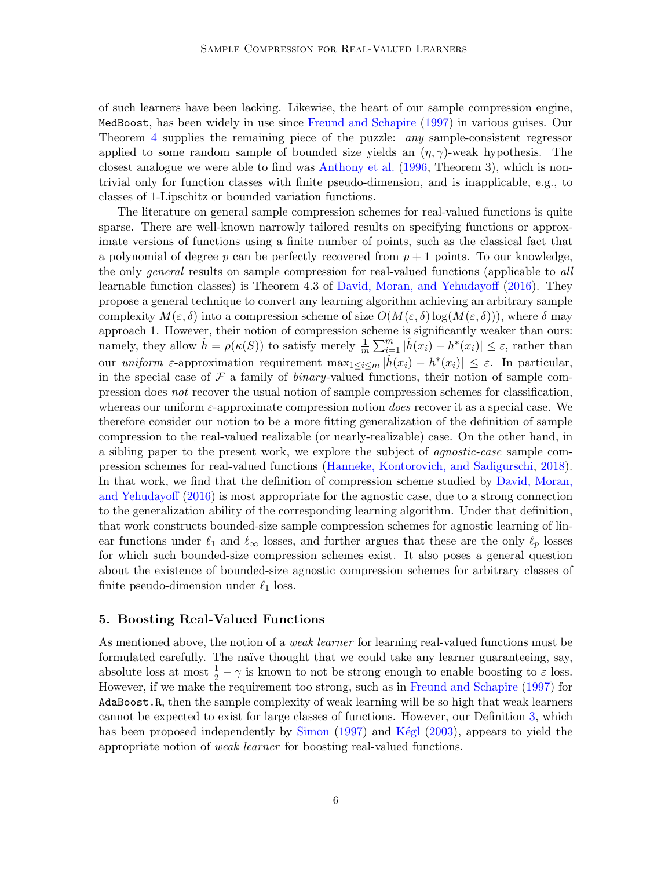of such learners have been lacking. Likewise, the heart of our sample compression engine, MedBoost, has been widely in use since [Freund and Schapire](#page-15-6) [\(1997\)](#page-15-6) in various guises. Our Theorem [4](#page-4-0) supplies the remaining piece of the puzzle: any sample-consistent regressor applied to some random sample of bounded size yields an  $(\eta, \gamma)$ -weak hypothesis. The closest analogue we were able to find was [Anthony et al.](#page-14-10) [\(1996,](#page-14-10) Theorem 3), which is nontrivial only for function classes with finite pseudo-dimension, and is inapplicable, e.g., to classes of 1-Lipschitz or bounded variation functions.

The literature on general sample compression schemes for real-valued functions is quite sparse. There are well-known narrowly tailored results on specifying functions or approximate versions of functions using a finite number of points, such as the classical fact that a polynomial of degree p can be perfectly recovered from  $p + 1$  points. To our knowledge, the only *general* results on sample compression for real-valued functions (applicable to *all*) learnable function classes) is Theorem 4.3 of [David, Moran, and Yehudayoff](#page-14-11) [\(2016\)](#page-14-11). They propose a general technique to convert any learning algorithm achieving an arbitrary sample complexity  $M(\varepsilon, \delta)$  into a compression scheme of size  $O(M(\varepsilon, \delta))$  log( $M(\varepsilon, \delta)$ )), where  $\delta$  may approach 1. However, their notion of compression scheme is significantly weaker than ours: namely, they allow  $\hat{h} = \rho(\kappa(S))$  to satisfy merely  $\frac{1}{m} \sum_{i=1}^{m} |\hat{h}(x_i) - h^*(x_i)| \leq \varepsilon$ , rather than our *uniform*  $\varepsilon$ -approximation requirement  $\max_{1 \leq i \leq m} |\hat{h}(x_i) - h^*(x_i)| \leq \varepsilon$ . In particular, in the special case of  $\mathcal F$  a family of *binary*-valued functions, their notion of sample compression does not recover the usual notion of sample compression schemes for classification, whereas our uniform  $\varepsilon$ -approximate compression notion *does* recover it as a special case. We therefore consider our notion to be a more fitting generalization of the definition of sample compression to the real-valued realizable (or nearly-realizable) case. On the other hand, in a sibling paper to the present work, we explore the subject of agnostic-case sample compression schemes for real-valued functions [\(Hanneke, Kontorovich, and Sadigurschi,](#page-15-8) [2018\)](#page-15-8). In that work, we find that the definition of compression scheme studied by [David, Moran,](#page-14-11) [and Yehudayoff](#page-14-11) [\(2016\)](#page-14-11) is most appropriate for the agnostic case, due to a strong connection to the generalization ability of the corresponding learning algorithm. Under that definition, that work constructs bounded-size sample compression schemes for agnostic learning of linear functions under  $\ell_1$  and  $\ell_{\infty}$  losses, and further argues that these are the only  $\ell_p$  losses for which such bounded-size compression schemes exist. It also poses a general question about the existence of bounded-size agnostic compression schemes for arbitrary classes of finite pseudo-dimension under  $\ell_1$  loss.

#### 5. Boosting Real-Valued Functions

As mentioned above, the notion of a *weak learner* for learning real-valued functions must be formulated carefully. The naïve thought that we could take any learner guaranteeing, say, absolute loss at most  $\frac{1}{2} - \gamma$  is known to not be strong enough to enable boosting to  $\varepsilon$  loss. However, if we make the requirement too strong, such as in [Freund and Schapire](#page-15-6) [\(1997\)](#page-15-6) for AdaBoost.R, then the sample complexity of weak learning will be so high that weak learners cannot be expected to exist for large classes of functions. However, our Definition [3,](#page-3-1) which has been proposed independently by [Simon](#page-17-9)  $(1997)$  and Kegl  $(2003)$ , appears to yield the appropriate notion of weak learner for boosting real-valued functions.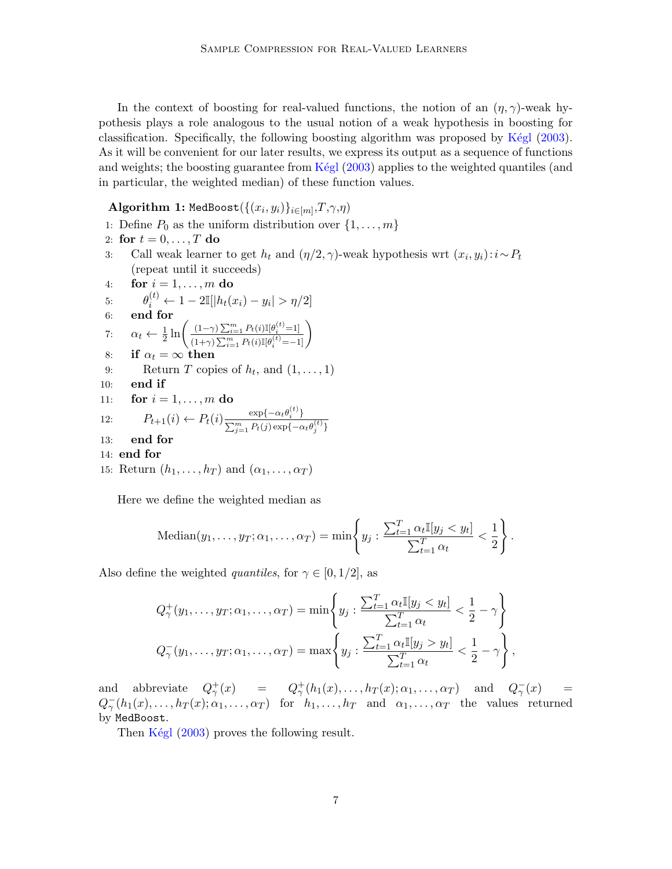In the context of boosting for real-valued functions, the notion of an  $(\eta, \gamma)$ -weak hypothesis plays a role analogous to the usual notion of a weak hypothesis in boosting for classification. Specifically, the following boosting algorithm was proposed by Kégl [\(2003\)](#page-16-7). As it will be convenient for our later results, we express its output as a sequence of functions and weights; the boosting guarantee from Kegl  $(2003)$  applies to the weighted quantiles (and in particular, the weighted median) of these function values.

## $\mathbf{Algorithm} \ \mathbf{1:}\ \mathtt{MedBoost}(\{(x_i, y_i)\}_{i \in [m]},\!T, \!\gamma, \!\eta)$

1: Define  $P_0$  as the uniform distribution over  $\{1, \ldots, m\}$ 2: for  $t = 0, \ldots, T$  do 3: Call weak learner to get  $h_t$  and  $(\eta/2, \gamma)$ -weak hypothesis wrt  $(x_i, y_i): i \sim P_t$ (repeat until it succeeds) 4: for  $i = 1, \ldots, m$  do 5:  $\theta_i^{(t)} \leftarrow 1 - 2\mathbb{I}[|h_t(x_i) - y_i| > \eta/2]$ 6: end for 7:  $\alpha_t \leftarrow \frac{1}{2} \ln \left( \frac{(1-\gamma) \sum_{i=1}^m P_t(i) \mathbb{I}[\theta_i^{(t)}=1]}{(1+\gamma) \sum_{i=1}^m P_t(i) \mathbb{I}[\theta_i^{(t)}=-1]} \right)$  $\frac{\left(1-\gamma\right)\sum_{i=1}^{m}P_{t}(i)\mathbb{I}[\theta_{i}^{(t)}=1]}{\left(1+\gamma\right)\sum_{i=1}^{m}P_{t}(i)\mathbb{I}[\theta_{i}^{(t)}=-1]}\right)$ 8: if  $\alpha_t = \infty$  then 9: Return T copies of  $h_t$ , and  $(1, \ldots, 1)$ 10: end if 11: **for**  $i = 1, ..., m$  do 12:  $P_{t+1}(i) \leftarrow P_t(i) \frac{\exp\{-\alpha_t \theta_i^{(t)}\}}{\sum_{i=1}^m P_i(i) \exp\{-\alpha_t \theta_i^{(t)}\}}$  $\sum_{j=1}^m P_t(j) \exp\{-\alpha_t \theta_j^{(t)}\}$ 13: end for 14: end for 15: Return  $(h_1, \ldots, h_T)$  and  $(\alpha_1, \ldots, \alpha_T)$ 

Here we define the weighted median as

Median
$$
(y_1, \ldots, y_T; \alpha_1, \ldots, \alpha_T) = \min \left\{ y_j : \frac{\sum_{t=1}^T \alpha_t \mathbb{I}[y_j < y_t]}{\sum_{t=1}^T \alpha_t} < \frac{1}{2} \right\}.
$$

Also define the weighted quantiles, for  $\gamma \in [0, 1/2]$ , as

$$
Q_{\gamma}^+(y_1,\ldots,y_T;\alpha_1,\ldots,\alpha_T) = \min\left\{y_j:\frac{\sum_{t=1}^T \alpha_t \mathbb{I}[y_j < y_t]}{\sum_{t=1}^T \alpha_t} < \frac{1}{2} - \gamma\right\}
$$
  

$$
Q_{\gamma}^-(y_1,\ldots,y_T;\alpha_1,\ldots,\alpha_T) = \max\left\{y_j:\frac{\sum_{t=1}^T \alpha_t \mathbb{I}[y_j > y_t]}{\sum_{t=1}^T \alpha_t} < \frac{1}{2} - \gamma\right\},\
$$

and abbreviate  $Q^+_\gamma(x) = Q^+_\gamma(h_1(x), \ldots, h_T(x); \alpha_1, \ldots, \alpha_T)$  and  $Q^-_\gamma(x) =$  $Q_{\gamma}^-(h_1(x),\ldots,h_T(x);\alpha_1,\ldots,\alpha_T)$  for  $h_1,\ldots,h_T$  and  $\alpha_1,\ldots,\alpha_T$  the values returned by MedBoost.

Then  $Kégl$  [\(2003\)](#page-16-7) proves the following result.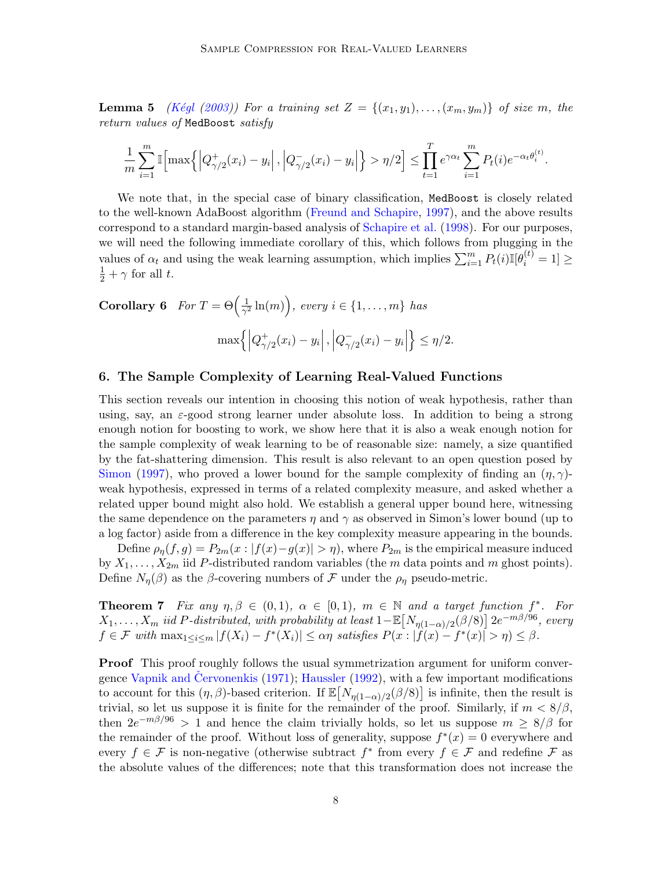**Lemma 5** (Kégl [\(2003\)](#page-16-7)) For a training set  $Z = \{(x_1, y_1), \ldots, (x_m, y_m)\}\$  of size m, the return values of MedBoost satisfy

$$
\frac{1}{m}\sum_{i=1}^{m} \mathbb{I}\left[\max\left\{\left|Q_{\gamma/2}^{+}(x_i) - y_i\right|, \left|Q_{\gamma/2}^{-}(x_i) - y_i\right|\right\} > \eta/2\right] \leq \prod_{t=1}^{T} e^{\gamma \alpha_t} \sum_{i=1}^{m} P_t(i) e^{-\alpha_t \theta_i^{(t)}}.
$$

We note that, in the special case of binary classification, MedBoost is closely related to the well-known AdaBoost algorithm [\(Freund and Schapire,](#page-15-6) [1997\)](#page-15-6), and the above results correspond to a standard margin-based analysis of [Schapire et al.](#page-17-10) [\(1998\)](#page-17-10). For our purposes, we will need the following immediate corollary of this, which follows from plugging in the values of  $\alpha_t$  and using the weak learning assumption, which implies  $\sum_{i=1}^m P_t(i) \mathbb{I}[\theta_i^{(t)} = 1] \geq$  $\frac{1}{2} + \gamma$  for all t.

<span id="page-7-1"></span>**Corollary 6** For  $T = \Theta\left(\frac{1}{\sigma^2}\right)$  $\frac{1}{\gamma^2}\ln(m)$ , every  $i \in \{1,\ldots,m\}$  has  $\max\Bigl\{\Bigl|Q^+_{\gamma/2}\Bigr|$  $_{\gamma/2}^{+}(x_i)-y_i\Big\vert\,,\Big\vert Q_{\gamma/2}^{-}$  $\frac{1}{\gamma/2}(x_i) - y_i$  $\leq \eta/2$ .

### 6. The Sample Complexity of Learning Real-Valued Functions

This section reveals our intention in choosing this notion of weak hypothesis, rather than using, say, an  $\varepsilon$ -good strong learner under absolute loss. In addition to being a strong enough notion for boosting to work, we show here that it is also a weak enough notion for the sample complexity of weak learning to be of reasonable size: namely, a size quantified by the fat-shattering dimension. This result is also relevant to an open question posed by [Simon](#page-17-9) [\(1997\)](#page-17-9), who proved a lower bound for the sample complexity of finding an  $(\eta, \gamma)$ weak hypothesis, expressed in terms of a related complexity measure, and asked whether a related upper bound might also hold. We establish a general upper bound here, witnessing the same dependence on the parameters  $\eta$  and  $\gamma$  as observed in Simon's lower bound (up to a log factor) aside from a difference in the key complexity measure appearing in the bounds.

Define  $\rho_{\eta}(f,g) = P_{2m}(x : |f(x)-g(x)| > \eta)$ , where  $P_{2m}$  is the empirical measure induced by  $X_1, \ldots, X_{2m}$  iid P-distributed random variables (the m data points and m ghost points). Define  $N_{\eta}(\beta)$  as the  $\beta$ -covering numbers of F under the  $\rho_{\eta}$  pseudo-metric.

<span id="page-7-0"></span>**Theorem 7** Fix any  $\eta, \beta \in (0, 1), \alpha \in [0, 1), m \in \mathbb{N}$  and a target function  $f^*$ . For  $X_1, \ldots, X_m$  iid P-distributed, with probability at least  $1 - \mathbb{E}\big[N_{\eta(1-\alpha)/2}(\beta/8)\big] 2e^{-m\beta/96}$ , every  $f \in \mathcal{F}$  with  $\max_{1 \leq i \leq m} |f(X_i) - f^*(X_i)| \leq \alpha \eta$  satisfies  $P(x : |f(x) - f^*(x)| > \eta) \leq \beta$ .

**Proof** This proof roughly follows the usual symmetrization argument for uniform conver-gence Vapnik and [Cervonenkis](#page-18-0)  $(1971)$ ; [Haussler](#page-15-9)  $(1992)$ , with a few important modifications to account for this  $(\eta, \beta)$ -based criterion. If  $\mathbb{E}[N_{\eta(1-\alpha)/2}(\beta/8)]$  is infinite, then the result is trivial, so let us suppose it is finite for the remainder of the proof. Similarly, if  $m < 8/\beta$ , then  $2e^{-m\beta/96} > 1$  and hence the claim trivially holds, so let us suppose  $m \geq 8/\beta$  for the remainder of the proof. Without loss of generality, suppose  $f^*(x) = 0$  everywhere and every  $f \in \mathcal{F}$  is non-negative (otherwise subtract  $f^*$  from every  $f \in \mathcal{F}$  and redefine  $\mathcal{F}$  as the absolute values of the differences; note that this transformation does not increase the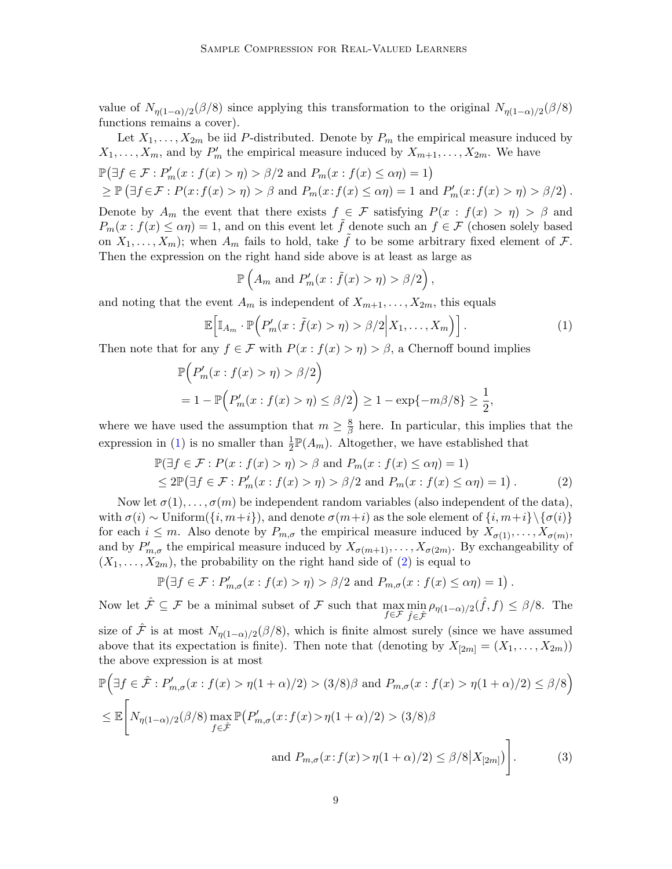value of  $N_{\eta(1-\alpha)/2}(\beta/8)$  since applying this transformation to the original  $N_{\eta(1-\alpha)/2}(\beta/8)$ functions remains a cover).

Let  $X_1, \ldots, X_{2m}$  be iid P-distributed. Denote by  $P_m$  the empirical measure induced by  $X_1, \ldots, X_m$ , and by  $P'_m$  the empirical measure induced by  $X_{m+1}, \ldots, X_{2m}$ . We have  $\mathbb{P}(\exists f \in \mathcal{F} : P'_m(x : f(x) > \eta) > \beta/2 \text{ and } P_m(x : f(x) \leq \alpha \eta) = 1)$  $\geq \mathbb{P}(\exists f \in \mathcal{F} : P(x : f(x) > \eta) > \beta \text{ and } P_m(x : f(x) \leq \alpha \eta) = 1 \text{ and } P'_m(x : f(x) > \eta) > \beta/2).$ Denote by  $A_m$  the event that there exists  $f \in \mathcal{F}$  satisfying  $P(x : f(x) > \eta) > \beta$  and  $P_m(x: f(x) \le \alpha \eta) = 1$ , and on this event let  $\tilde{f}$  denote such an  $f \in \mathcal{F}$  (chosen solely based on  $X_1, \ldots, X_m$ ; when  $A_m$  fails to hold, take  $\tilde{f}$  to be some arbitrary fixed element of  $\mathcal{F}$ . Then the expression on the right hand side above is at least as large as

<span id="page-8-1"></span>
$$
\mathbb{P}\left(A_m \text{ and } P'_m(x:\tilde{f}(x)>\eta)>\beta/2\right),\
$$

and noting that the event  $A_m$  is independent of  $X_{m+1}, \ldots, X_{2m}$ , this equals

<span id="page-8-0"></span>
$$
\mathbb{E}\Big[\mathbb{I}_{A_m}\cdot\mathbb{P}\Big(P'_m(x:\tilde{f}(x)>\eta)>\beta/2\Big|X_1,\ldots,X_m\Big)\Big].\tag{1}
$$

Then note that for any  $f \in \mathcal{F}$  with  $P(x : f(x) > \eta) > \beta$ , a Chernoff bound implies

$$
\mathbb{P}\Big(P'_m(x: f(x) > \eta) > \beta/2\Big)
$$
  
= 1 -  $\mathbb{P}\Big(P'_m(x: f(x) > \eta) \le \beta/2\Big) \ge 1 - \exp\{-m\beta/8\} \ge \frac{1}{2},$ 

where we have used the assumption that  $m \geq \frac{8}{8}$  $\frac{8}{\beta}$  here. In particular, this implies that the expression in [\(1\)](#page-8-0) is no smaller than  $\frac{1}{2}\mathbb{P}(A_m)$ . Altogether, we have established that

$$
\mathbb{P}(\exists f \in \mathcal{F} : P(x : f(x) > \eta) > \beta \text{ and } P_m(x : f(x) \le \alpha \eta) = 1)
$$
  
\n
$$
\le 2\mathbb{P}(\exists f \in \mathcal{F} : P'_m(x : f(x) > \eta) > \beta/2 \text{ and } P_m(x : f(x) \le \alpha \eta) = 1).
$$
 (2)

Now let  $\sigma(1), \ldots, \sigma(m)$  be independent random variables (also independent of the data), with  $\sigma(i) \sim \text{Uniform}(\{i, m+i\})$ , and denote  $\sigma(m+i)$  as the sole element of  $\{i, m+i\} \setminus {\sigma(i)}$ for each  $i \leq m$ . Also denote by  $P_{m,\sigma}$  the empirical measure induced by  $X_{\sigma(1)}, \ldots, X_{\sigma(m)}$ , and by  $P'_{m,\sigma}$  the empirical measure induced by  $X_{\sigma(m+1)},\ldots,X_{\sigma(2m)}$ . By exchangeability of  $(X_1, \ldots, X_{2m})$ , the probability on the right hand side of  $(2)$  is equal to

<span id="page-8-2"></span>
$$
\mathbb{P}(\exists f \in \mathcal{F} : P'_{m,\sigma}(x : f(x) > \eta) > \beta/2 \text{ and } P_{m,\sigma}(x : f(x) \leq \alpha \eta) = 1).
$$

Now let  $\hat{\mathcal{F}} \subseteq \mathcal{F}$  be a minimal subset of  $\mathcal{F}$  such that  $\max_{f \in \hat{\mathcal{F}}} \min_{\hat{f} \in \hat{\mathcal{F}}}$  $\min_{\hat{f} \in \hat{\mathcal{F}}} \rho_{\eta(1-\alpha)/2}(\hat{f}, f) \leq \beta/8$ . The

size of  $\hat{\mathcal{F}}$  is at most  $N_{\eta(1-\alpha)/2}(\beta/8)$ , which is finite almost surely (since we have assumed above that its expectation is finite). Then note that (denoting by  $X_{[2m]} = (X_1, \ldots, X_{2m})$ ) the above expression is at most

$$
\mathbb{P}\Big(\exists f \in \hat{\mathcal{F}} : P'_{m,\sigma}(x : f(x) > \eta(1+\alpha)/2) > (3/8)\beta \text{ and } P_{m,\sigma}(x : f(x) > \eta(1+\alpha)/2) \le \beta/8\Big)
$$
  

$$
\le \mathbb{E}\Bigg[N_{\eta(1-\alpha)/2}(\beta/8) \max_{f \in \hat{\mathcal{F}}} \mathbb{P}\big(P'_{m,\sigma}(x : f(x) > \eta(1+\alpha)/2) > (3/8)\beta
$$
  
and  $P_{m,\sigma}(x : f(x) > \eta(1+\alpha)/2) \le \beta/8|X_{[2m]}\big)\Bigg].$  (3)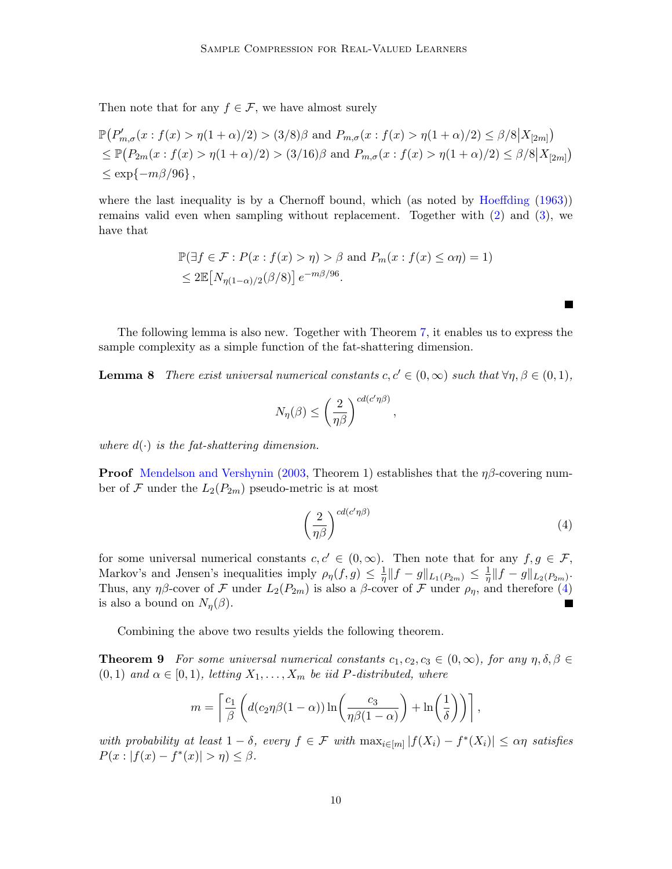Then note that for any  $f \in \mathcal{F}$ , we have almost surely

$$
\mathbb{P}(P'_{m,\sigma}(x: f(x) > \eta(1+\alpha)/2) > (3/8)\beta \text{ and } P_{m,\sigma}(x: f(x) > \eta(1+\alpha)/2) \le \beta/8|X_{[2m]})
$$
  
\n
$$
\le \mathbb{P}(P_{2m}(x: f(x) > \eta(1+\alpha)/2) > (3/16)\beta \text{ and } P_{m,\sigma}(x: f(x) > \eta(1+\alpha)/2) \le \beta/8|X_{[2m]})
$$
  
\n
$$
\le \exp\{-m\beta/96\},
$$

where the last inequality is by a Chernoff bound, which (as noted by [Hoeffding](#page-16-10) [\(1963\)](#page-16-10)) remains valid even when sampling without replacement. Together with [\(2\)](#page-8-1) and [\(3\)](#page-8-2), we have that

$$
\mathbb{P}(\exists f \in \mathcal{F} : P(x : f(x) > \eta) > \beta \text{ and } P_m(x : f(x) \le \alpha \eta) = 1)
$$
  
\$\le 2\mathbb{E}[N\_{\eta(1-\alpha)/2}(\beta/8)] e^{-m\beta/96}\$.

The following lemma is also new. Together with Theorem [7,](#page-7-0) it enables us to express the sample complexity as a simple function of the fat-shattering dimension.

<span id="page-9-1"></span>**Lemma 8** There exist universal numerical constants  $c, c' \in (0, \infty)$  such that  $\forall \eta, \beta \in (0, 1)$ ,

$$
N_{\eta}(\beta) \leq \left(\frac{2}{\eta \beta}\right)^{c d (c' \eta \beta)},
$$

where  $d(\cdot)$  is the fat-shattering dimension.

**Proof** [Mendelson and Vershynin](#page-16-11) [\(2003,](#page-16-11) Theorem 1) establishes that the  $\eta\beta$ -covering number of  $\mathcal F$  under the  $L_2(P_{2m})$  pseudo-metric is at most

<span id="page-9-0"></span>
$$
\left(\frac{2}{\eta\beta}\right)^{cd(c'\eta\beta)}\tag{4}
$$

 $\blacksquare$ 

for some universal numerical constants  $c, c' \in (0, \infty)$ . Then note that for any  $f, g \in \mathcal{F}$ , Markov's and Jensen's inequalities imply  $\rho_{\eta}(f,g) \leq \frac{1}{n}$  $\frac{1}{\eta}$ ||f – g|| $L_1(P_{2m}) \leq \frac{1}{\eta}$  $\frac{1}{\eta} \|f-g\|_{L_2(P_{2m})}.$ Thus, any  $\eta\beta$ -cover of F under  $L_2(P_{2m})$  is also a  $\beta$ -cover of F under  $\rho_\eta$ , and therefore [\(4\)](#page-9-0) is also a bound on  $N_n(\beta)$ . П

Combining the above two results yields the following theorem.

<span id="page-9-2"></span>**Theorem 9** For some universal numerical constants  $c_1, c_2, c_3 \in (0, \infty)$ , for any  $\eta, \delta, \beta \in$  $(0, 1)$  and  $\alpha \in [0, 1)$ , letting  $X_1, \ldots, X_m$  be iid P-distributed, where

$$
m = \left\lceil \frac{c_1}{\beta} \left( d(c_2 \eta \beta (1 - \alpha)) \ln \left( \frac{c_3}{\eta \beta (1 - \alpha)} \right) + \ln \left( \frac{1}{\delta} \right) \right) \right\rceil,
$$

with probability at least  $1 - \delta$ , every  $f \in \mathcal{F}$  with  $\max_{i \in [m]} |f(X_i) - f^*(X_i)| \leq \alpha \eta$  satisfies  $P(x: |f(x) - f^{*}(x)| > \eta) \leq \beta.$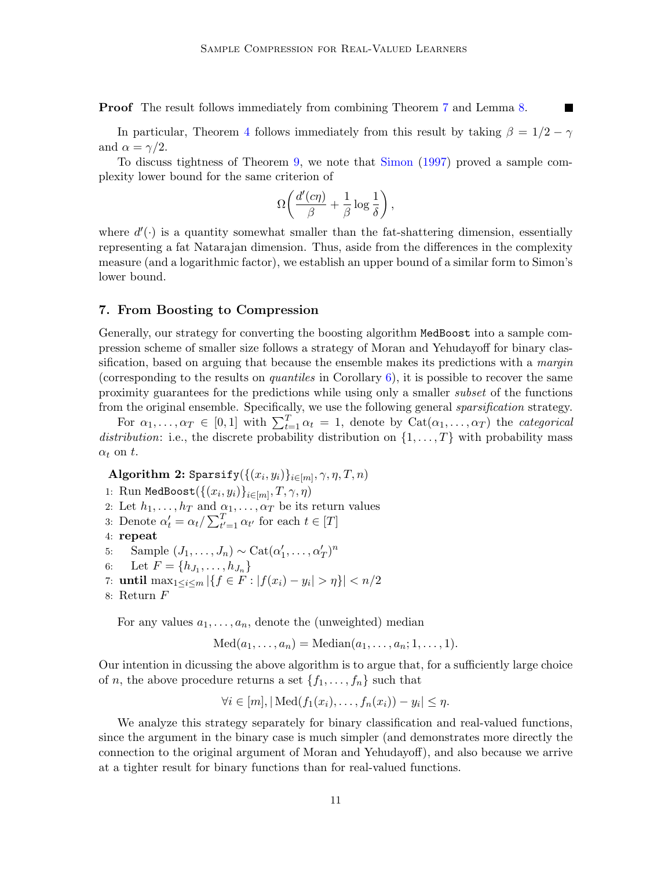Proof The result follows immediately from combining Theorem [7](#page-7-0) and Lemma [8.](#page-9-1)

In particular, Theorem [4](#page-4-0) follows immediately from this result by taking  $\beta = 1/2 - \gamma$ and  $\alpha = \gamma/2$ .

To discuss tightness of Theorem [9,](#page-9-2) we note that [Simon](#page-17-9) [\(1997\)](#page-17-9) proved a sample complexity lower bound for the same criterion of

$$
\Omega\biggl(\frac{d'(c\eta)}{\beta}+\frac{1}{\beta}\log\frac{1}{\delta}\biggr)\,,
$$

where  $d'(\cdot)$  is a quantity somewhat smaller than the fat-shattering dimension, essentially representing a fat Natarajan dimension. Thus, aside from the differences in the complexity measure (and a logarithmic factor), we establish an upper bound of a similar form to Simon's lower bound.

### 7. From Boosting to Compression

Generally, our strategy for converting the boosting algorithm MedBoost into a sample compression scheme of smaller size follows a strategy of Moran and Yehudayoff for binary classification, based on arguing that because the ensemble makes its predictions with a *margin* (corresponding to the results on *quantiles* in Corollary  $6$ ), it is possible to recover the same proximity guarantees for the predictions while using only a smaller subset of the functions from the original ensemble. Specifically, we use the following general sparsification strategy.

For  $\alpha_1, \ldots, \alpha_T \in [0,1]$  with  $\sum_{t=1}^T \alpha_t = 1$ , denote by  $\text{Cat}(\alpha_1, \ldots, \alpha_T)$  the *categorical* distribution: i.e., the discrete probability distribution on  $\{1, \ldots, T\}$  with probability mass  $\alpha_t$  on t.

 $\mathbf{Algorithm} \; \mathbf{2:} \; \texttt{Sparsify}(\{(x_i, y_i)\}_{i \in [m]}, \gamma, \eta, T, n)$ 

- 1: Run MedBoost $(\{(x_i, y_i)\}_{i \in [m]}, T, \gamma, \eta)$
- 2: Let  $h_1, \ldots, h_T$  and  $\alpha_1, \ldots, \alpha_T$  be its return values
- 3: Denote  $\alpha'_t = \alpha_t / \sum_{t'=1}^T \alpha_{t'}$  for each  $t \in [T]$
- 4: repeat
- 5: Sample  $(J_1, \ldots, J_n) \sim \text{Cat}(\alpha'_1, \ldots, \alpha'_T)^n$
- 6: Let  $F = \{h_{J_1}, \ldots, h_{J_n}\}\$
- 7: **until** max<sub>1≤*i*≤*m*</sub>  ${f f ∈ F : |f(x_i) y_i| > η}$  $| < n/2$
- 8: Return F

For any values  $a_1, \ldots, a_n$ , denote the (unweighted) median

 $Med(a_1, ..., a_n) = Median(a_1, ..., a_n; 1, ..., 1).$ 

Our intention in dicussing the above algorithm is to argue that, for a sufficiently large choice of *n*, the above procedure returns a set  $\{f_1, \ldots, f_n\}$  such that

$$
\forall i \in [m], |\text{Med}(f_1(x_i), \ldots, f_n(x_i)) - y_i| \leq \eta.
$$

We analyze this strategy separately for binary classification and real-valued functions, since the argument in the binary case is much simpler (and demonstrates more directly the connection to the original argument of Moran and Yehudayoff), and also because we arrive at a tighter result for binary functions than for real-valued functions.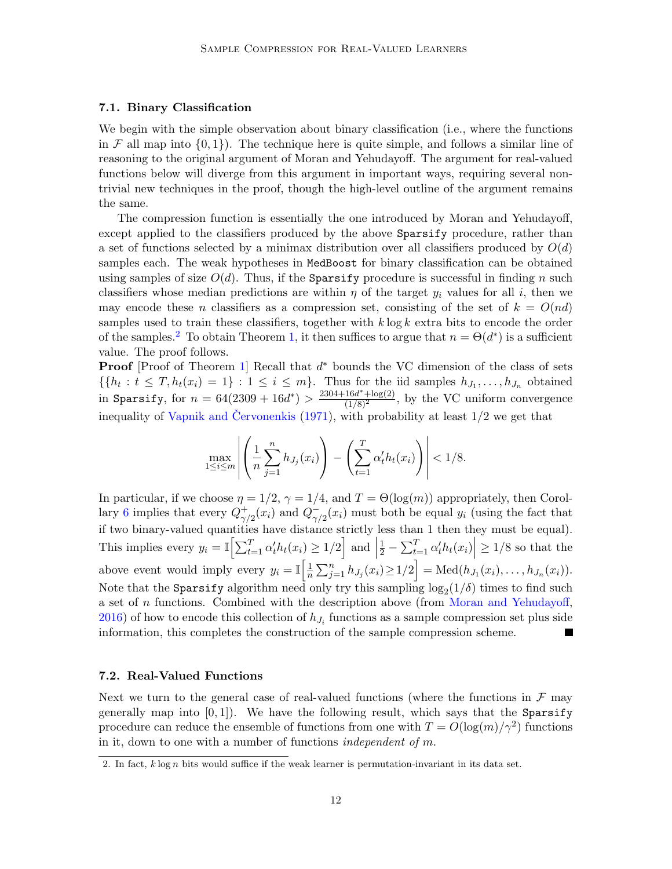#### 7.1. Binary Classification

We begin with the simple observation about binary classification (i.e., where the functions in F all map into  $\{0,1\}$ . The technique here is quite simple, and follows a similar line of reasoning to the original argument of Moran and Yehudayoff. The argument for real-valued functions below will diverge from this argument in important ways, requiring several nontrivial new techniques in the proof, though the high-level outline of the argument remains the same.

The compression function is essentially the one introduced by Moran and Yehudayoff, except applied to the classifiers produced by the above **Sparsify** procedure, rather than a set of functions selected by a minimax distribution over all classifiers produced by  $O(d)$ samples each. The weak hypotheses in MedBoost for binary classification can be obtained using samples of size  $O(d)$ . Thus, if the Sparsify procedure is successful in finding n such classifiers whose median predictions are within  $\eta$  of the target  $y_i$  values for all i, then we may encode these n classifiers as a compression set, consisting of the set of  $k = O(nd)$ samples used to train these classifiers, together with  $k \log k$  extra bits to encode the order of the samples.<sup>[2](#page-11-0)</sup> To obtain Theorem [1,](#page-2-0) it then suffices to argue that  $n = \Theta(d^*)$  is a sufficient value. The proof follows.

Proof [Proof of Theorem [1\]](#page-2-0) Recall that d<sup>\*</sup> bounds the VC dimension of the class of sets  $\{\{h_t: t \leq T, h_t(x_i) = 1\} : 1 \leq i \leq m\}$ . Thus for the iid samples  $h_{J_1}, \ldots, h_{J_n}$  obtained in Sparsify, for  $n = 64(2309 + 16d^*) > \frac{2304 + 16d^* + \log(2)}{(1/8)^2}$ , by the VC uniform convergence inequality of Vapnik and Červonenkis  $(1971)$ , with probability at least  $1/2$  we get that

$$
\max_{1 \le i \le m} \left| \left( \frac{1}{n} \sum_{j=1}^n h_{J_j}(x_i) \right) - \left( \sum_{t=1}^T \alpha'_t h_t(x_i) \right) \right| < 1/8.
$$

In particular, if we choose  $\eta = 1/2$ ,  $\gamma = 1/4$ , and  $T = \Theta(\log(m))$  appropriately, then Corol-lary [6](#page-7-1) implies that every  $Q_{\sim}^{+}$  $\frac{1}{\gamma/2}(x_i)$  and  $Q_{\gamma}$  $\bar{y}_{\gamma/2}(x_i)$  must both be equal  $y_i$  (using the fact that if two binary-valued quantities have distance strictly less than 1 then they must be equal). This implies every  $y_i = \mathbb{I}\Big[\sum_{t=1}^T \alpha_t' h_t(x_i) \geq 1/2\Big]$  and  $\Big|$  $\left|\frac{1}{2} - \sum_{t=1}^T \alpha_t' h_t(x_i)\right| \geq 1/8$  so that the above event would imply every  $y_i = \mathbb{I} \left[ \frac{1}{n} \right]$  $\frac{1}{n}\sum_{j=1}^{n} h_{J_j}(x_i) \geq 1/2$  = Med $(h_{J_1}(x_i),...,h_{J_n}(x_i)).$ Note that the Sparsify algorithm need only try this sampling  $\log_2(1/\delta)$  times to find such a set of n functions. Combined with the description above (from [Moran and Yehudayoff,](#page-17-3)  $2016$ ) of how to encode this collection of  $h_{J_i}$  functions as a sample compression set plus side information, this completes the construction of the sample compression scheme.

#### 7.2. Real-Valued Functions

Next we turn to the general case of real-valued functions (where the functions in  $\mathcal F$  may generally map into  $[0, 1]$ ). We have the following result, which says that the Sparsify procedure can reduce the ensemble of functions from one with  $T = O(\log(m)/\gamma^2)$  functions in it, down to one with a number of functions *independent of m*.

<span id="page-11-0"></span><sup>2.</sup> In fact,  $k \log n$  bits would suffice if the weak learner is permutation-invariant in its data set.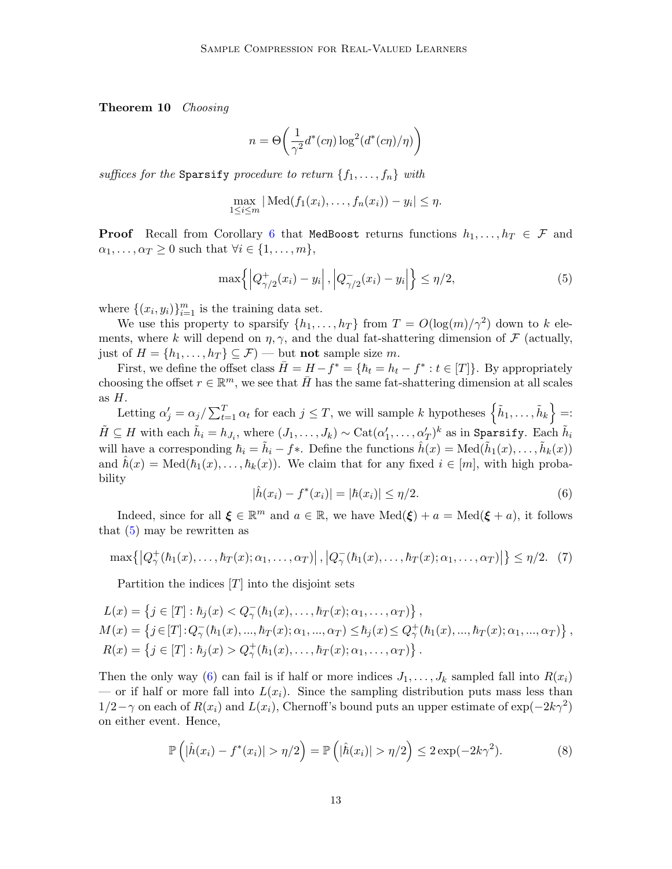Theorem 10 Choosing

$$
n = \Theta\left(\frac{1}{\gamma^2}d^*(c\eta)\log^2(d^*(c\eta)/\eta)\right)
$$

suffices for the Sparsify procedure to return  $\{f_1, \ldots, f_n\}$  with

$$
\max_{1 \le i \le m} |\text{Med}(f_1(x_i), \dots, f_n(x_i)) - y_i| \le \eta.
$$

**Proof** Recall from Corollary [6](#page-7-1) that MedBoost returns functions  $h_1, \ldots, h_T \in \mathcal{F}$  and  $\alpha_1, \ldots, \alpha_T \geq 0$  such that  $\forall i \in \{1, \ldots, m\},$ 

<span id="page-12-0"></span>
$$
\max\{|Q_{\gamma/2}^+(x_i) - y_i|, |Q_{\gamma/2}^-(x_i) - y_i|\} \le \eta/2,
$$
\n(5)

where  $\{(x_i, y_i)\}_{i=1}^m$  is the training data set.

We use this property to sparsify  $\{h_1, \ldots, h_T\}$  from  $T = O(\log(m)/\gamma^2)$  down to k elements, where k will depend on  $\eta$ ,  $\gamma$ , and the dual fat-shattering dimension of  $\mathcal F$  (actually, just of  $H = \{h_1, \ldots, h_T\} \subseteq \mathcal{F}$   $\rightarrow$  but not sample size m.

First, we define the offset class  $\overline{H} = H - f^* = \{\hbar_t = h_t - f^* : t \in [T]\}.$  By appropriately choosing the offset  $r \in \mathbb{R}^m$ , we see that  $\bar{H}$  has the same fat-shattering dimension at all scales as  $H$ .

Letting  $\alpha'_j = \alpha_j / \sum_{t=1}^T \alpha_t$  for each  $j \leq T$ , we will sample k hypotheses  $\left\{ \tilde{h}_1, \ldots, \tilde{h}_k \right\} =$ :  $\tilde{H} \subseteq H$  with each  $\tilde{h}_i = h_{J_i}$ , where  $(J_1, \ldots, J_k) \sim \text{Cat}(\alpha_1', \ldots, \alpha_T')^k$  as in Sparsify. Each  $\tilde{h}_i$ will have a corresponding  $\hbar_i = \tilde{h}_i - f *$ . Define the functions  $\hat{h}(x) = \text{Med}(\tilde{h}_1(x), \dots, \tilde{h}_k(x))$ and  $\hat{h}(x) = \text{Med}(h_1(x), \ldots, h_k(x)).$  We claim that for any fixed  $i \in [m]$ , with high probability

<span id="page-12-1"></span>
$$
|\hat{h}(x_i) - f^*(x_i)| = |\hbar(x_i)| \le \eta/2.
$$
\n(6)

Indeed, since for all  $\xi \in \mathbb{R}^m$  and  $a \in \mathbb{R}$ , we have  $\text{Med}(\xi) + a = \text{Med}(\xi + a)$ , it follows that  $(5)$  may be rewritten as

$$
\max\{|Q^+_{\gamma}(\hbar_1(x),\ldots,\hbar_T(x);\alpha_1,\ldots,\alpha_T)|\,|\,|Q^-_{\gamma}(\hbar_1(x),\ldots,\hbar_T(x);\alpha_1,\ldots,\alpha_T)|\}\leq \eta/2.\tag{7}
$$

Partition the indices  $[T]$  into the disjoint sets

$$
L(x) = \left\{ j \in [T] : \hbar_j(x) < Q_\gamma^-(\hbar_1(x), \dots, \hbar_T(x); \alpha_1, \dots, \alpha_T) \right\},
$$
\n
$$
M(x) = \left\{ j \in [T] : Q_\gamma^-(\hbar_1(x), \dots, \hbar_T(x); \alpha_1, \dots, \alpha_T) \le \hbar_j(x) \le Q_\gamma^+(\hbar_1(x), \dots, \hbar_T(x); \alpha_1, \dots, \alpha_T) \right\},
$$
\n
$$
R(x) = \left\{ j \in [T] : \hbar_j(x) > Q_\gamma^+(\hbar_1(x), \dots, \hbar_T(x); \alpha_1, \dots, \alpha_T) \right\}.
$$

Then the only way [\(6\)](#page-12-1) can fail is if half or more indices  $J_1, \ldots, J_k$  sampled fall into  $R(x_i)$ — or if half or more fall into  $L(x_i)$ . Since the sampling distribution puts mass less than  $1/2-\gamma$  on each of  $R(x_i)$  and  $L(x_i)$ , Chernoff's bound puts an upper estimate of  $\exp(-2k\gamma^2)$ on either event. Hence,

$$
\mathbb{P}\left(|\hat{h}(x_i) - f^*(x_i)| > \eta/2\right) = \mathbb{P}\left(|\hat{h}(x_i)| > \eta/2\right) \le 2\exp(-2k\gamma^2). \tag{8}
$$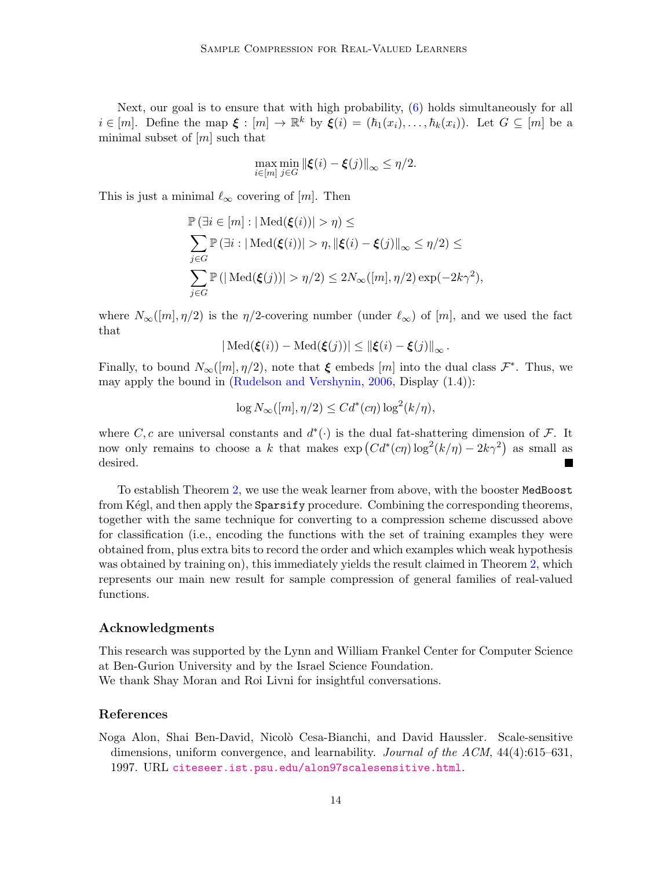Next, our goal is to ensure that with high probability, [\(6\)](#page-12-1) holds simultaneously for all  $i \in [m]$ . Define the map  $\xi : [m] \to \mathbb{R}^k$  by  $\xi(i) = (\hbar_1(x_i), \ldots, \hbar_k(x_i))$ . Let  $G \subseteq [m]$  be a minimal subset of  $[m]$  such that

$$
\max_{i\in[m]}\min_{j\in G}\|\boldsymbol{\xi}(i)-\boldsymbol{\xi}(j)\|_{\infty}\leq \eta/2.
$$

This is just a minimal  $\ell_{\infty}$  covering of [m]. Then

$$
\mathbb{P}(\exists i \in [m] : |\text{Med}(\xi(i))| > \eta) \le
$$
  

$$
\sum_{j \in G} \mathbb{P}(\exists i : |\text{Med}(\xi(i))| > \eta, \|\xi(i) - \xi(j)\|_{\infty} \le \eta/2) \le
$$
  

$$
\sum_{j \in G} \mathbb{P}(|\text{Med}(\xi(j))| > \eta/2) \le 2N_{\infty}([m], \eta/2) \exp(-2k\gamma^2),
$$

where  $N_{\infty}([m], \eta/2)$  is the  $\eta/2$ -covering number (under  $\ell_{\infty}$ ) of [m], and we used the fact that

$$
|\operatorname{Med}(\xi(i)) - \operatorname{Med}(\xi(j))| \le ||\xi(i) - \xi(j)||_{\infty}.
$$

Finally, to bound  $N_\infty([m], \eta/2)$ , note that  $\xi$  embeds  $[m]$  into the dual class  $\mathcal{F}^*$ . Thus, we may apply the bound in [\(Rudelson and Vershynin,](#page-17-11) [2006,](#page-17-11) Display (1.4)):

$$
\log N_{\infty}([m], \eta/2) \leq C d^*(c\eta) \log^2(k/\eta),
$$

where C, c are universal constants and  $d^*(\cdot)$  is the dual fat-shattering dimension of F. It now only remains to choose a k that makes  $\exp(Cd^*(c\eta)\log^2(k/\eta) - 2k\gamma^2)$  as small as desired. ┓

To establish Theorem [2,](#page-3-0) we use the weak learner from above, with the booster MedBoost from Kégl, and then apply the Sparsify procedure. Combining the corresponding theorems, together with the same technique for converting to a compression scheme discussed above for classification (i.e., encoding the functions with the set of training examples they were obtained from, plus extra bits to record the order and which examples which weak hypothesis was obtained by training on), this immediately yields the result claimed in Theorem [2,](#page-3-0) which represents our main new result for sample compression of general families of real-valued functions.

#### Acknowledgments

This research was supported by the Lynn and William Frankel Center for Computer Science at Ben-Gurion University and by the Israel Science Foundation. We thank Shay Moran and Roi Livni for insightful conversations.

#### References

<span id="page-13-0"></span>Noga Alon, Shai Ben-David, Nicol`o Cesa-Bianchi, and David Haussler. Scale-sensitive dimensions, uniform convergence, and learnability. Journal of the ACM, 44(4):615–631, 1997. URL <citeseer.ist.psu.edu/alon97scalesensitive.html>.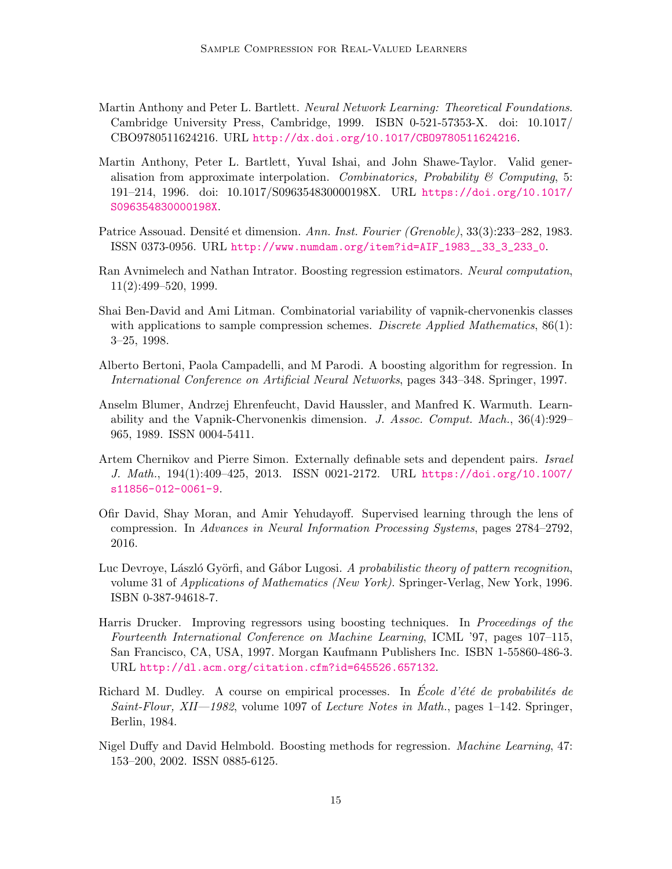- <span id="page-14-12"></span>Martin Anthony and Peter L. Bartlett. Neural Network Learning: Theoretical Foundations. Cambridge University Press, Cambridge, 1999. ISBN 0-521-57353-X. doi: 10.1017/ CBO9780511624216. URL <http://dx.doi.org/10.1017/CBO9780511624216>.
- <span id="page-14-10"></span>Martin Anthony, Peter L. Bartlett, Yuval Ishai, and John Shawe-Taylor. Valid generalisation from approximate interpolation. Combinatorics, Probability & Computing, 5: 191–214, 1996. doi: 10.1017/S096354830000198X. URL [https://doi.org/10.1017/](https://doi.org/10.1017/S096354830000198X) [S096354830000198X](https://doi.org/10.1017/S096354830000198X).
- <span id="page-14-2"></span>Patrice Assouad. Densité et dimension. Ann. Inst. Fourier (Grenoble), 33(3):233–282, 1983. ISSN 0373-0956. URL [http://www.numdam.org/item?id=AIF\\_1983\\_\\_33\\_3\\_233\\_0](http://www.numdam.org/item?id=AIF_1983__33_3_233_0).
- <span id="page-14-8"></span>Ran Avnimelech and Nathan Intrator. Boosting regression estimators. Neural computation, 11(2):499–520, 1999.
- <span id="page-14-0"></span>Shai Ben-David and Ami Litman. Combinatorial variability of vapnik-chervonenkis classes with applications to sample compression schemes. Discrete Applied Mathematics,  $86(1)$ : 3–25, 1998.
- <span id="page-14-6"></span>Alberto Bertoni, Paola Campadelli, and M Parodi. A boosting algorithm for regression. In International Conference on Artificial Neural Networks, pages 343–348. Springer, 1997.
- <span id="page-14-4"></span>Anselm Blumer, Andrzej Ehrenfeucht, David Haussler, and Manfred K. Warmuth. Learnability and the Vapnik-Chervonenkis dimension. J. Assoc. Comput. Mach., 36(4):929– 965, 1989. ISSN 0004-5411.
- <span id="page-14-1"></span>Artem Chernikov and Pierre Simon. Externally definable sets and dependent pairs. Israel J. Math., 194(1):409–425, 2013. ISSN 0021-2172. URL [https://doi.org/10.1007/](https://doi.org/10.1007/s11856-012-0061-9) [s11856-012-0061-9](https://doi.org/10.1007/s11856-012-0061-9).
- <span id="page-14-11"></span>Ofir David, Shay Moran, and Amir Yehudayoff. Supervised learning through the lens of compression. In Advances in Neural Information Processing Systems, pages 2784–2792, 2016.
- <span id="page-14-5"></span>Luc Devroye, László Györfi, and Gábor Lugosi. A probabilistic theory of pattern recognition, volume 31 of Applications of Mathematics (New York). Springer-Verlag, New York, 1996. ISBN 0-387-94618-7.
- <span id="page-14-7"></span>Harris Drucker. Improving regressors using boosting techniques. In Proceedings of the Fourteenth International Conference on Machine Learning, ICML '97, pages 107–115, San Francisco, CA, USA, 1997. Morgan Kaufmann Publishers Inc. ISBN 1-55860-486-3. URL <http://dl.acm.org/citation.cfm?id=645526.657132>.
- <span id="page-14-3"></span>Richard M. Dudley. A course on empirical processes. In Ecole d'été de probabilités de Saint-Flour, XII—1982, volume 1097 of Lecture Notes in Math., pages  $1-142$ . Springer, Berlin, 1984.
- <span id="page-14-9"></span>Nigel Duffy and David Helmbold. Boosting methods for regression. *Machine Learning*, 47: 153–200, 2002. ISSN 0885-6125.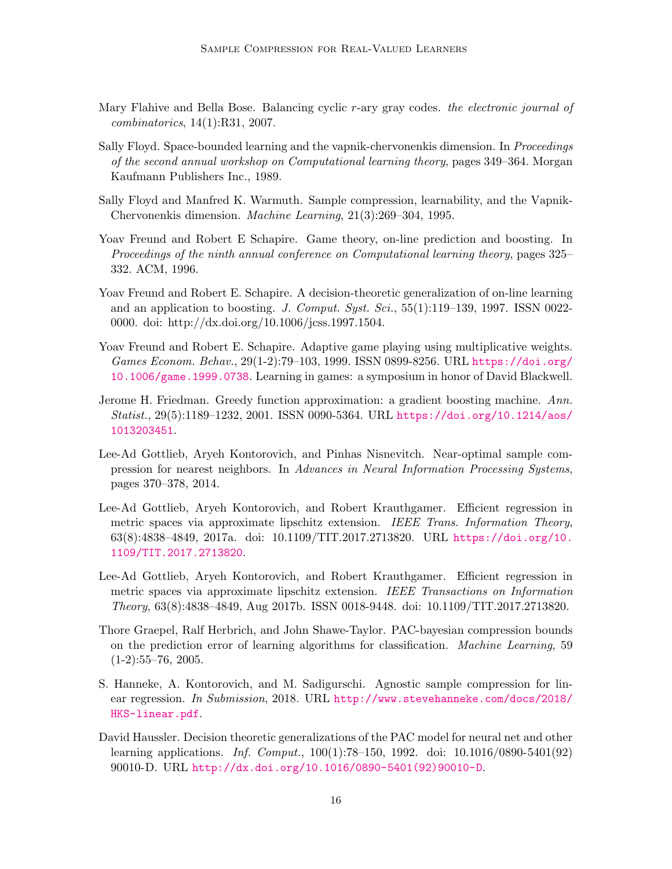- <span id="page-15-10"></span>Mary Flahive and Bella Bose. Balancing cyclic r-ary gray codes. the electronic journal of combinatorics, 14(1):R31, 2007.
- <span id="page-15-0"></span>Sally Floyd. Space-bounded learning and the vapnik-chervonenkis dimension. In Proceedings of the second annual workshop on Computational learning theory, pages 349–364. Morgan Kaufmann Publishers Inc., 1989.
- <span id="page-15-1"></span>Sally Floyd and Manfred K. Warmuth. Sample compression, learnability, and the Vapnik-Chervonenkis dimension. Machine Learning, 21(3):269–304, 1995.
- <span id="page-15-2"></span>Yoav Freund and Robert E Schapire. Game theory, on-line prediction and boosting. In Proceedings of the ninth annual conference on Computational learning theory, pages 325– 332. ACM, 1996.
- <span id="page-15-6"></span>Yoav Freund and Robert E. Schapire. A decision-theoretic generalization of on-line learning and an application to boosting. J. Comput. Syst. Sci.,  $55(1):119-139$ , 1997. ISSN 0022-0000. doi: http://dx.doi.org/10.1006/jcss.1997.1504.
- <span id="page-15-3"></span>Yoav Freund and Robert E. Schapire. Adaptive game playing using multiplicative weights. Games Econom. Behav., 29(1-2):79–103, 1999. ISSN 0899-8256. URL [https://doi.org/](https://doi.org/10.1006/game.1999.0738) [10.1006/game.1999.0738](https://doi.org/10.1006/game.1999.0738). Learning in games: a symposium in honor of David Blackwell.
- <span id="page-15-7"></span>Jerome H. Friedman. Greedy function approximation: a gradient boosting machine. Ann. Statist., 29(5):1189–1232, 2001. ISSN 0090-5364. URL [https://doi.org/10.1214/aos/](https://doi.org/10.1214/aos/1013203451) [1013203451](https://doi.org/10.1214/aos/1013203451).
- <span id="page-15-5"></span>Lee-Ad Gottlieb, Aryeh Kontorovich, and Pinhas Nisnevitch. Near-optimal sample compression for nearest neighbors. In Advances in Neural Information Processing Systems, pages 370–378, 2014.
- <span id="page-15-12"></span>Lee-Ad Gottlieb, Aryeh Kontorovich, and Robert Krauthgamer. Efficient regression in metric spaces via approximate lipschitz extension. IEEE Trans. Information Theory, 63(8):4838–4849, 2017a. doi: 10.1109/TIT.2017.2713820. URL [https://doi.org/10.](https://doi.org/10.1109/TIT.2017.2713820) [1109/TIT.2017.2713820](https://doi.org/10.1109/TIT.2017.2713820).
- <span id="page-15-11"></span>Lee-Ad Gottlieb, Aryeh Kontorovich, and Robert Krauthgamer. Efficient regression in metric spaces via approximate lipschitz extension. IEEE Transactions on Information Theory, 63(8):4838–4849, Aug 2017b. ISSN 0018-9448. doi: 10.1109/TIT.2017.2713820.
- <span id="page-15-4"></span>Thore Graepel, Ralf Herbrich, and John Shawe-Taylor. PAC-bayesian compression bounds on the prediction error of learning algorithms for classification. Machine Learning, 59  $(1-2):55-76, 2005.$
- <span id="page-15-8"></span>S. Hanneke, A. Kontorovich, and M. Sadigurschi. Agnostic sample compression for linear regression. In Submission, 2018. URL [http://www.stevehanneke.com/docs/2018/](http://www.stevehanneke.com/docs/2018/HKS-linear.pdf) [HKS-linear.pdf](http://www.stevehanneke.com/docs/2018/HKS-linear.pdf).
- <span id="page-15-9"></span>David Haussler. Decision theoretic generalizations of the PAC model for neural net and other learning applications. Inf. Comput., 100(1):78–150, 1992. doi: 10.1016/0890-5401(92) 90010-D. URL [http://dx.doi.org/10.1016/0890-5401\(92\)90010-D](http://dx.doi.org/10.1016/0890-5401(92)90010-D).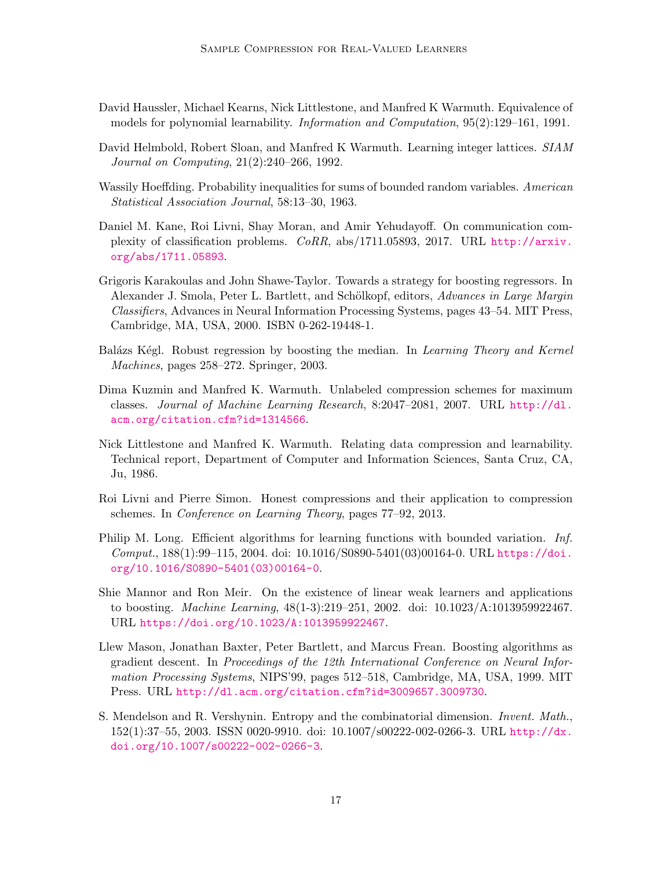- <span id="page-16-4"></span>David Haussler, Michael Kearns, Nick Littlestone, and Manfred K Warmuth. Equivalence of models for polynomial learnability. Information and Computation, 95(2):129–161, 1991.
- <span id="page-16-1"></span>David Helmbold, Robert Sloan, and Manfred K Warmuth. Learning integer lattices. SIAM Journal on Computing, 21(2):240–266, 1992.
- <span id="page-16-10"></span>Wassily Hoeffding. Probability inequalities for sums of bounded random variables. American Statistical Association Journal, 58:13–30, 1963.
- <span id="page-16-5"></span>Daniel M. Kane, Roi Livni, Shay Moran, and Amir Yehudayoff. On communication complexity of classification problems. CoRR, abs/1711.05893, 2017. URL [http://arxiv.](http://arxiv.org/abs/1711.05893) [org/abs/1711.05893](http://arxiv.org/abs/1711.05893).
- <span id="page-16-6"></span>Grigoris Karakoulas and John Shawe-Taylor. Towards a strategy for boosting regressors. In Alexander J. Smola, Peter L. Bartlett, and Schölkopf, editors, Advances in Large Margin Classifiers, Advances in Neural Information Processing Systems, pages 43–54. MIT Press, Cambridge, MA, USA, 2000. ISBN 0-262-19448-1.
- <span id="page-16-7"></span>Balázs Kégl. Robust regression by boosting the median. In Learning Theory and Kernel Machines, pages 258–272. Springer, 2003.
- <span id="page-16-2"></span>Dima Kuzmin and Manfred K. Warmuth. Unlabeled compression schemes for maximum classes. Journal of Machine Learning Research, 8:2047–2081, 2007. URL [http://dl.](http://dl.acm.org/citation.cfm?id=1314566) [acm.org/citation.cfm?id=1314566](http://dl.acm.org/citation.cfm?id=1314566).
- <span id="page-16-0"></span>Nick Littlestone and Manfred K. Warmuth. Relating data compression and learnability. Technical report, Department of Computer and Information Sciences, Santa Cruz, CA, Ju, 1986.
- <span id="page-16-3"></span>Roi Livni and Pierre Simon. Honest compressions and their application to compression schemes. In Conference on Learning Theory, pages 77–92, 2013.
- <span id="page-16-12"></span>Philip M. Long. Efficient algorithms for learning functions with bounded variation. Inf.  $Comput., 188(1):99-115, 2004. \text{ doi: } 10.1016/S0890-5401(03)00164-0. \text{ URL https://doi.}$  $Comput., 188(1):99-115, 2004. \text{ doi: } 10.1016/S0890-5401(03)00164-0. \text{ URL https://doi.}$  $Comput., 188(1):99-115, 2004. \text{ doi: } 10.1016/S0890-5401(03)00164-0. \text{ URL https://doi.}$ [org/10.1016/S0890-5401\(03\)00164-0](https://doi.org/10.1016/S0890-5401(03)00164-0).
- <span id="page-16-9"></span>Shie Mannor and Ron Meir. On the existence of linear weak learners and applications to boosting. Machine Learning, 48(1-3):219–251, 2002. doi: 10.1023/A:1013959922467. URL <https://doi.org/10.1023/A:1013959922467>.
- <span id="page-16-8"></span>Llew Mason, Jonathan Baxter, Peter Bartlett, and Marcus Frean. Boosting algorithms as gradient descent. In Proceedings of the 12th International Conference on Neural Information Processing Systems, NIPS'99, pages 512–518, Cambridge, MA, USA, 1999. MIT Press. URL <http://dl.acm.org/citation.cfm?id=3009657.3009730>.
- <span id="page-16-11"></span>S. Mendelson and R. Vershynin. Entropy and the combinatorial dimension. Invent. Math., 152(1):37–55, 2003. ISSN 0020-9910. doi: 10.1007/s00222-002-0266-3. URL [http://dx.](http://dx.doi.org/10.1007/s00222-002-0266-3) [doi.org/10.1007/s00222-002-0266-3](http://dx.doi.org/10.1007/s00222-002-0266-3).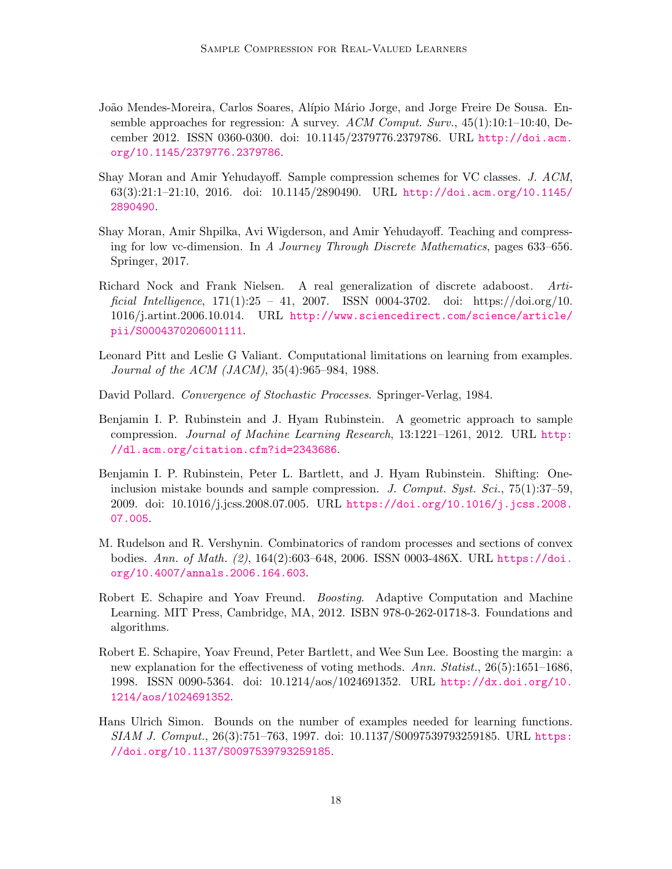- <span id="page-17-8"></span>João Mendes-Moreira, Carlos Soares, Alípio Mário Jorge, and Jorge Freire De Sousa. Ensemble approaches for regression: A survey. ACM Comput. Surv., 45(1):10:1–10:40, December 2012. ISSN 0360-0300. doi: 10.1145/2379776.2379786. URL [http://doi.acm.](http://doi.acm.org/10.1145/2379776.2379786) [org/10.1145/2379776.2379786](http://doi.acm.org/10.1145/2379776.2379786).
- <span id="page-17-3"></span>Shay Moran and Amir Yehudayoff. Sample compression schemes for VC classes. J. ACM, 63(3):21:1–21:10, 2016. doi: 10.1145/2890490. URL [http://doi.acm.org/10.1145/](http://doi.acm.org/10.1145/2890490) [2890490](http://doi.acm.org/10.1145/2890490).
- <span id="page-17-2"></span>Shay Moran, Amir Shpilka, Avi Wigderson, and Amir Yehudayoff. Teaching and compressing for low vc-dimension. In A Journey Through Discrete Mathematics, pages 633–656. Springer, 2017.
- <span id="page-17-7"></span>Richard Nock and Frank Nielsen. A real generalization of discrete adaboost. Artificial Intelligence,  $171(1):25 - 41$ ,  $2007$ . ISSN 0004-3702. doi: https://doi.org/10. 1016/j.artint.2006.10.014. URL [http://www.sciencedirect.com/science/article/](http://www.sciencedirect.com/science/article/pii/S0004370206001111) [pii/S0004370206001111](http://www.sciencedirect.com/science/article/pii/S0004370206001111).
- <span id="page-17-6"></span>Leonard Pitt and Leslie G Valiant. Computational limitations on learning from examples. Journal of the ACM (JACM), 35(4):965–984, 1988.
- <span id="page-17-5"></span>David Pollard. Convergence of Stochastic Processes. Springer-Verlag, 1984.
- <span id="page-17-1"></span>Benjamin I. P. Rubinstein and J. Hyam Rubinstein. A geometric approach to sample compression. Journal of Machine Learning Research, 13:1221–1261, 2012. URL [http:](http://dl.acm.org/citation.cfm?id=2343686) [//dl.acm.org/citation.cfm?id=2343686](http://dl.acm.org/citation.cfm?id=2343686).
- <span id="page-17-0"></span>Benjamin I. P. Rubinstein, Peter L. Bartlett, and J. Hyam Rubinstein. Shifting: Oneinclusion mistake bounds and sample compression. J. Comput. Syst. Sci., 75(1):37–59, 2009. doi: 10.1016/j.jcss.2008.07.005. URL [https://doi.org/10.1016/j.jcss.2008.](https://doi.org/10.1016/j.jcss.2008.07.005) [07.005](https://doi.org/10.1016/j.jcss.2008.07.005).
- <span id="page-17-11"></span>M. Rudelson and R. Vershynin. Combinatorics of random processes and sections of convex bodies. Ann. of Math. (2), 164(2):603–648, 2006. ISSN 0003-486X. URL [https://doi.](https://doi.org/10.4007/annals.2006.164.603) [org/10.4007/annals.2006.164.603](https://doi.org/10.4007/annals.2006.164.603).
- <span id="page-17-4"></span>Robert E. Schapire and Yoav Freund. Boosting. Adaptive Computation and Machine Learning. MIT Press, Cambridge, MA, 2012. ISBN 978-0-262-01718-3. Foundations and algorithms.
- <span id="page-17-10"></span>Robert E. Schapire, Yoav Freund, Peter Bartlett, and Wee Sun Lee. Boosting the margin: a new explanation for the effectiveness of voting methods. Ann. Statist., 26(5):1651–1686, 1998. ISSN 0090-5364. doi: 10.1214/aos/1024691352. URL [http://dx.doi.org/10.](http://dx.doi.org/10.1214/aos/1024691352) [1214/aos/1024691352](http://dx.doi.org/10.1214/aos/1024691352).
- <span id="page-17-9"></span>Hans Ulrich Simon. Bounds on the number of examples needed for learning functions. SIAM J. Comput., 26(3):751–763, 1997. doi: 10.1137/S0097539793259185. URL [https:](https://doi.org/10.1137/S0097539793259185) [//doi.org/10.1137/S0097539793259185](https://doi.org/10.1137/S0097539793259185).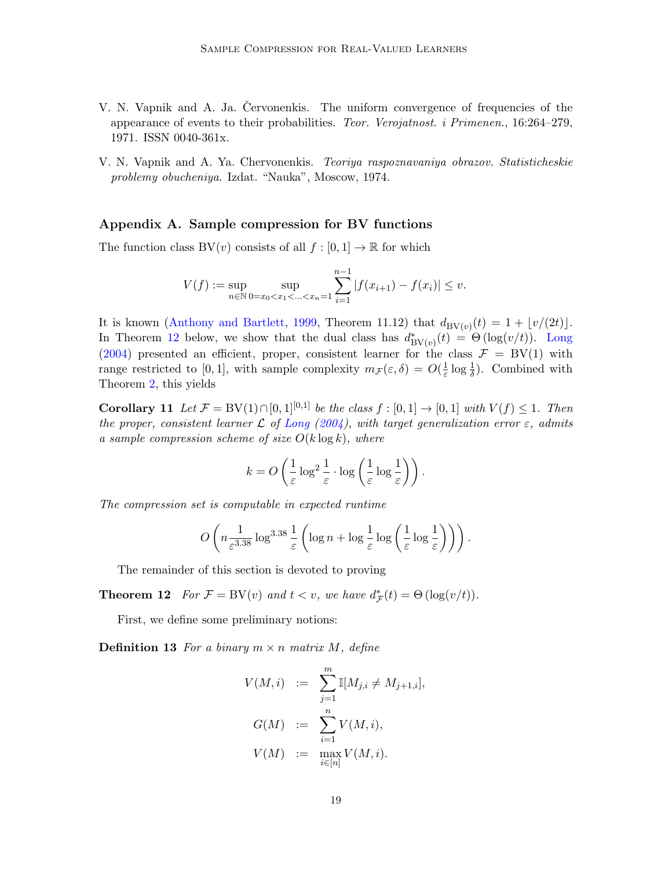- <span id="page-18-0"></span>V. N. Vapnik and A. Ja. Cervonenkis. The uniform convergence of frequencies of the appearance of events to their probabilities. Teor. Verojatnost. i Primenen., 16:264–279, 1971. ISSN 0040-361x.
- <span id="page-18-1"></span>V. N. Vapnik and A. Ya. Chervonenkis. Teoriya raspoznavaniya obrazov. Statisticheskie problemy obucheniya. Izdat. "Nauka", Moscow, 1974.

### <span id="page-18-2"></span>Appendix A. Sample compression for BV functions

The function class  $BV(v)$  consists of all  $f : [0,1] \to \mathbb{R}$  for which

$$
V(f) := \sup_{n \in \mathbb{N}} \sup_{0 = x_0 < x_1 < \ldots < x_n = 1} \sum_{i=1}^{n-1} |f(x_{i+1}) - f(x_i)| \le v.
$$

It is known [\(Anthony and Bartlett,](#page-14-12) [1999,](#page-14-12) Theorem 11.12) that  $d_{BV(v)}(t) = 1 + \lfloor v/(2t) \rfloor$ . In Theorem [12](#page-18-3) below, we show that the dual class has  $d_{BV(v)}^*(t) = \Theta(\log(v/t))$ . [Long](#page-16-12) [\(2004\)](#page-16-12) presented an efficient, proper, consistent learner for the class  $\mathcal{F} = BV(1)$  with range restricted to [0, 1], with sample complexity  $m_{\mathcal{F}}(\varepsilon,\delta) = O(\frac{1}{\varepsilon})$  $\frac{1}{\varepsilon} \log \frac{1}{\delta}$ . Combined with Theorem [2,](#page-3-0) this yields

Corollary 11 Let  $\mathcal{F} = BV(1) \cap [0, 1]^{[0,1]}$  be the class  $f : [0, 1] \to [0, 1]$  with  $V(f) \leq 1$ . Then the proper, consistent learner  $\mathcal L$  of [Long](#page-16-12) [\(2004\)](#page-16-12), with target generalization error  $\varepsilon$ , admits a sample compression scheme of size  $O(k \log k)$ , where

<span id="page-18-3"></span>
$$
k = O\left(\frac{1}{\varepsilon}\log^2\frac{1}{\varepsilon}\cdot\log\left(\frac{1}{\varepsilon}\log\frac{1}{\varepsilon}\right)\right).
$$

The compression set is computable in expected runtime

$$
O\left(n\frac{1}{\varepsilon^{3.38}}\log^{3.38}\frac{1}{\varepsilon}\left(\log n + \log\frac{1}{\varepsilon}\log\left(\frac{1}{\varepsilon}\log\frac{1}{\varepsilon}\right)\right)\right).
$$

The remainder of this section is devoted to proving

**Theorem 12** For  $\mathcal{F} = BV(v)$  and  $t < v$ , we have  $d^*_{\mathcal{F}}(t) = \Theta(\log(v/t)).$ 

First, we define some preliminary notions:

<span id="page-18-4"></span>**Definition 13** For a binary  $m \times n$  matrix M, define

$$
V(M, i) := \sum_{j=1}^{m} \mathbb{I}[M_{j,i} \neq M_{j+1,i}],
$$
  
\n
$$
G(M) := \sum_{i=1}^{n} V(M, i),
$$
  
\n
$$
V(M) := \max_{i \in [n]} V(M, i).
$$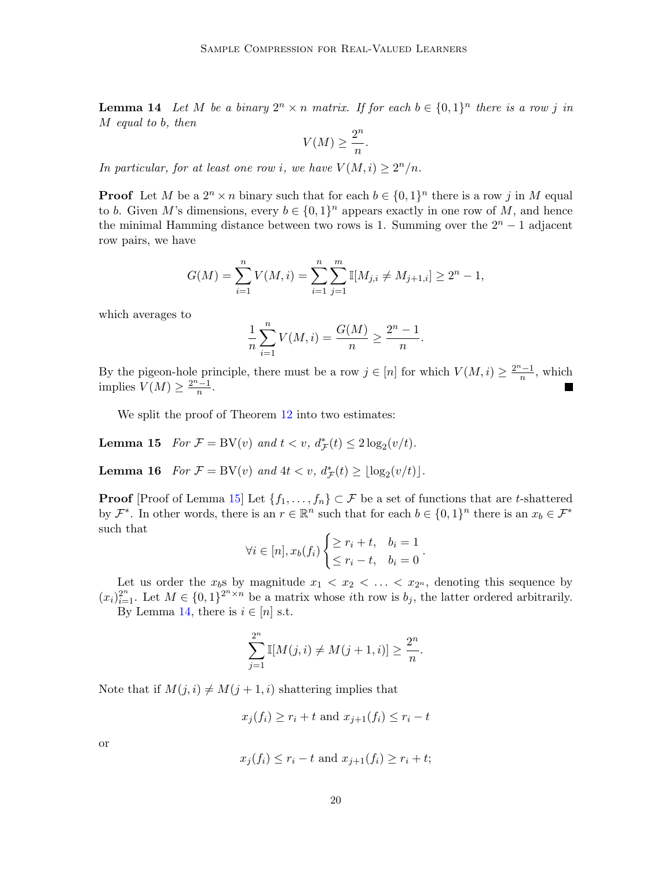**Lemma 14** Let M be a binary  $2^n \times n$  matrix. If for each  $b \in \{0,1\}^n$  there is a row j in M equal to b, then

$$
V(M) \ge \frac{2^n}{n}.
$$

In particular, for at least one row i, we have  $V(M, i) \geq 2^n/n$ .

**Proof** Let M be a  $2^n \times n$  binary such that for each  $b \in \{0,1\}^n$  there is a row j in M equal to b. Given M's dimensions, every  $b \in \{0,1\}^n$  appears exactly in one row of M, and hence the minimal Hamming distance between two rows is 1. Summing over the  $2<sup>n</sup> - 1$  adjacent row pairs, we have

$$
G(M) = \sum_{i=1}^{n} V(M, i) = \sum_{i=1}^{n} \sum_{j=1}^{m} \mathbb{I}[M_{j,i} \neq M_{j+1,i}] \geq 2^{n} - 1,
$$

which averages to

$$
\frac{1}{n}\sum_{i=1}^{n}V(M,i) = \frac{G(M)}{n} \ge \frac{2^{n}-1}{n}.
$$

By the pigeon-hole principle, there must be a row  $j \in [n]$  for which  $V(M, i) \geq \frac{2^{n}-1}{n}$  $\frac{n-1}{n}$ , which implies  $V(M) \geq \frac{2^{n-1}}{n}$  $\frac{n-1}{n}$ .

We split the proof of Theorem [12](#page-18-3) into two estimates:

<span id="page-19-0"></span>**Lemma 15** For  $\mathcal{F} = BV(v)$  and  $t < v$ ,  $d_{\mathcal{F}}^*(t) \leq 2\log_2(v/t)$ .

<span id="page-19-1"></span>**Lemma 16** For  $\mathcal{F} = BV(v)$  and  $4t < v$ ,  $d_{\mathcal{F}}^*(t) \geq \lfloor \log_2(v/t) \rfloor$ .

**Proof** [Proof of Lemma [15\]](#page-19-0) Let  $\{f_1, \ldots, f_n\} \subset \mathcal{F}$  be a set of functions that are t-shattered by  $\mathcal{F}^*$ . In other words, there is an  $r \in \mathbb{R}^n$  such that for each  $b \in \{0,1\}^n$  there is an  $x_b \in \mathcal{F}^*$ such that

$$
\forall i \in [n], x_b(f_i) \begin{cases} \ge r_i + t, & b_i = 1 \\ \le r_i - t, & b_i = 0 \end{cases}.
$$

Let us order the  $x_b$ s by magnitude  $x_1 < x_2 < \ldots < x_{2^n}$ , denoting this sequence by  $(x_i)_{i=1}^{2^n}$ . Let  $M \in \{0,1\}^{2^n \times n}$  be a matrix whose *i*th row is  $b_j$ , the latter ordered arbitrarily. By Lemma [14,](#page-18-4) there is  $i \in [n]$  s.t.

$$
\sum_{j=1}^{2^n} \mathbb{I}[M(j,i) \neq M(j+1,i)] \geq \frac{2^n}{n}.
$$

Note that if  $M(j, i) \neq M(j + 1, i)$  shattering implies that

$$
x_j(f_i) \ge r_i + t \text{ and } x_{j+1}(f_i) \le r_i - t
$$

or

$$
x_j(f_i) \le r_i - t \text{ and } x_{j+1}(f_i) \ge r_i + t;
$$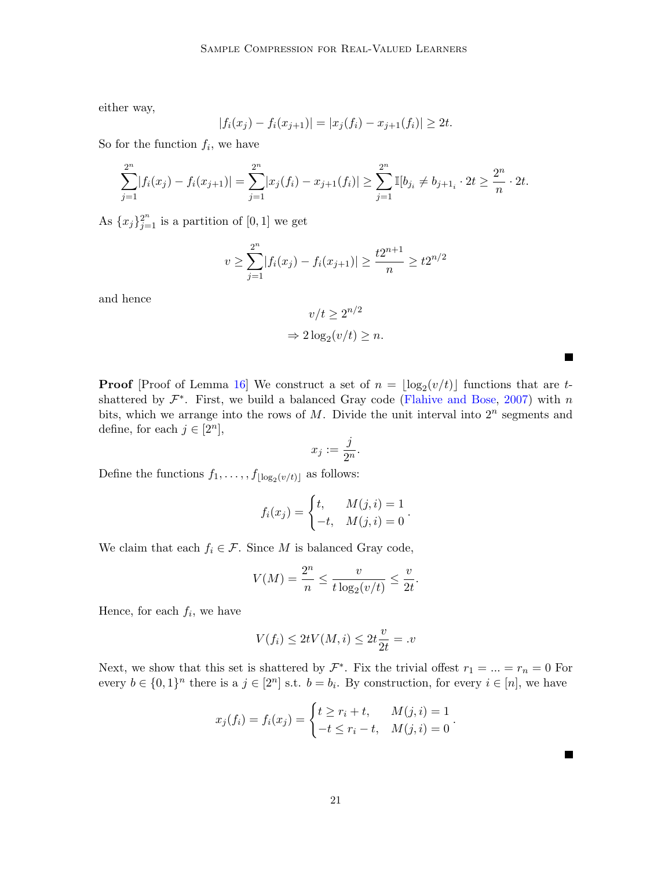either way,

$$
|f_i(x_j) - f_i(x_{j+1})| = |x_j(f_i) - x_{j+1}(f_i)| \ge 2t.
$$

So for the function  $f_i$ , we have

$$
\sum_{j=1}^{2^n} |f_i(x_j) - f_i(x_{j+1})| = \sum_{j=1}^{2^n} |x_j(f_i) - x_{j+1}(f_i)| \ge \sum_{j=1}^{2^n} \mathbb{I}[b_{j_i} \ne b_{j+1_i} \cdot 2t \ge \frac{2^n}{n} \cdot 2t.
$$

As  ${x_j}_{j=1}^{2^n}$  is a partition of [0, 1] we get

$$
v \ge \sum_{j=1}^{2^n} |f_i(x_j) - f_i(x_{j+1})| \ge \frac{t2^{n+1}}{n} \ge t2^{n/2}
$$

and hence

$$
v/t \ge 2^{n/2}
$$

$$
\Rightarrow 2\log_2(v/t) \ge n.
$$

**Proof** [Proof of Lemma [16\]](#page-19-1) We construct a set of  $n = \lfloor \log_2(v/t) \rfloor$  functions that are tshattered by  $\mathcal{F}^*$ . First, we build a balanced Gray code [\(Flahive and Bose,](#page-15-10) [2007\)](#page-15-10) with n bits, which we arrange into the rows of  $M$ . Divide the unit interval into  $2^n$  segments and define, for each  $j \in [2^n]$ ,

$$
x_j := \frac{j}{2^n}.
$$

Define the functions  $f_1, \ldots, f_{\lfloor \log_2(v/t) \rfloor}$  as follows:

$$
f_i(x_j) = \begin{cases} t, & M(j, i) = 1 \\ -t, & M(j, i) = 0 \end{cases}.
$$

We claim that each  $f_i \in \mathcal{F}$ . Since M is balanced Gray code,

$$
V(M) = \frac{2^n}{n} \le \frac{v}{t \log_2(v/t)} \le \frac{v}{2t}.
$$

Hence, for each  $f_i$ , we have

$$
V(f_i) \le 2tV(M,i) \le 2t\frac{v}{2t} = .v
$$

Next, we show that this set is shattered by  $\mathcal{F}^*$ . Fix the trivial offest  $r_1 = ... = r_n = 0$  For every  $b \in \{0,1\}^n$  there is a  $j \in [2^n]$  s.t.  $b = b_i$ . By construction, for every  $i \in [n]$ , we have

$$
x_j(f_i) = f_i(x_j) = \begin{cases} t \ge r_i + t, & M(j, i) = 1 \\ -t \le r_i - t, & M(j, i) = 0 \end{cases}
$$

.

 $\blacksquare$ 

**The State**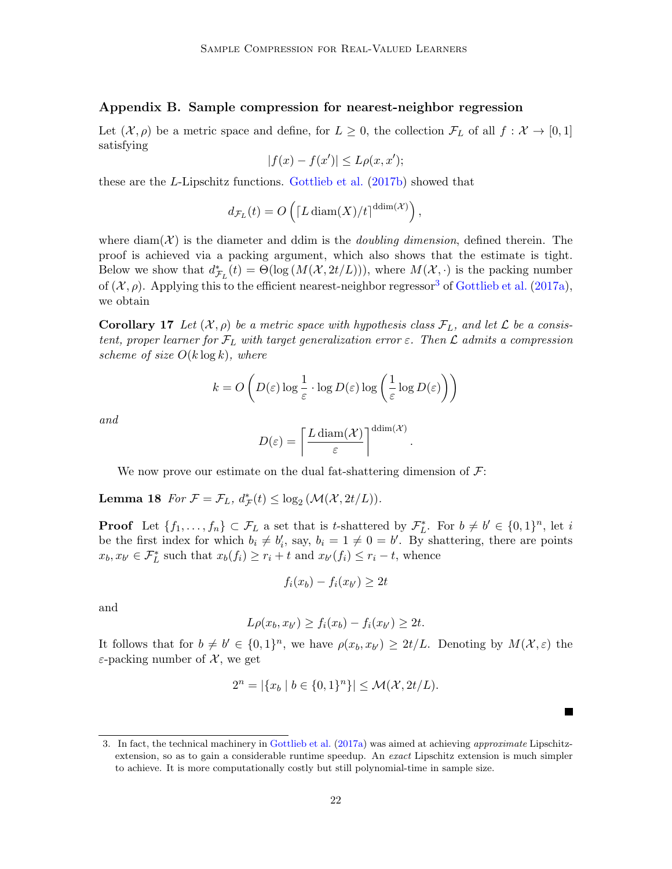#### <span id="page-21-0"></span>Appendix B. Sample compression for nearest-neighbor regression

Let  $(\mathcal{X}, \rho)$  be a metric space and define, for  $L \geq 0$ , the collection  $\mathcal{F}_L$  of all  $f : \mathcal{X} \to [0, 1]$ satisfying

$$
|f(x) - f(x')| \le L\rho(x, x');
$$

these are the L-Lipschitz functions. [Gottlieb et al.](#page-15-11) [\(2017b\)](#page-15-11) showed that

$$
d_{\mathcal{F}_L}(t) = O\left(\left[L \operatorname{diam}(X)/t\right]^{\operatorname{ddim}(\mathcal{X})}\right),\,
$$

where diam $(\mathcal{X})$  is the diameter and ddim is the *doubling dimension*, defined therein. The proof is achieved via a packing argument, which also shows that the estimate is tight. Below we show that  $d^*_{\mathcal{F}_L}(t) = \Theta(\log(M(\mathcal{X}, 2t/L)))$ , where  $M(\mathcal{X}, \cdot)$  is the packing number of  $(\mathcal{X}, \rho)$ . Applying this to the efficient nearest-neighbor regressor<sup>[3](#page-21-1)</sup> of [Gottlieb et al.](#page-15-12) [\(2017a\)](#page-15-12), we obtain

**Corollary 17** Let  $(X, \rho)$  be a metric space with hypothesis class  $\mathcal{F}_L$ , and let  $\mathcal{L}$  be a consistent, proper learner for  $\mathcal{F}_L$  with target generalization error  $\varepsilon$ . Then  $\mathcal L$  admits a compression scheme of size  $O(k \log k)$ , where

$$
k = O\left(D(\varepsilon) \log \frac{1}{\varepsilon} \cdot \log D(\varepsilon) \log \left(\frac{1}{\varepsilon} \log D(\varepsilon)\right)\right)
$$

and

$$
D(\varepsilon) = \left\lceil \frac{L \operatorname{diam}(\mathcal{X})}{\varepsilon} \right\rceil^{\operatorname{ddim}(\mathcal{X})}.
$$

We now prove our estimate on the dual fat-shattering dimension of  $\mathcal{F}$ :

**Lemma 18** For  $\mathcal{F} = \mathcal{F}_L$ ,  $d^*_{\mathcal{F}}(t) \leq \log_2(M(\mathcal{X}, 2t/L)).$ 

**Proof** Let  $\{f_1, \ldots, f_n\} \subset \mathcal{F}_L$  a set that is t-shattered by  $\mathcal{F}_L^*$ . For  $b \neq b' \in \{0,1\}^n$ , let i be the first index for which  $b_i \neq b'_i$ , say,  $b_i = 1 \neq 0 = b'$ . By shattering, there are points  $x_b, x_{b'} \in \mathcal{F}_L^*$  such that  $x_b(f_i) \ge r_i + t$  and  $x_{b'}(f_i) \le r_i - t$ , whence

$$
f_i(x_b) - f_i(x_{b'}) \geq 2t
$$

and

$$
L\rho(x_b, x_{b'}) \ge f_i(x_b) - f_i(x_{b'}) \ge 2t.
$$

It follows that for  $b \neq b' \in \{0,1\}^n$ , we have  $\rho(x_b, x_{b'}) \geq 2t/L$ . Denoting by  $M(\mathcal{X}, \varepsilon)$  the  $\varepsilon$ -packing number of  $\mathcal{X}$ , we get

$$
2^{n} = |\{x_b \mid b \in \{0, 1\}^n\}| \le \mathcal{M}(\mathcal{X}, 2t/L).
$$

 $\blacksquare$ 

<span id="page-21-1"></span><sup>3.</sup> In fact, the technical machinery in [Gottlieb et al.](#page-15-12) [\(2017a\)](#page-15-12) was aimed at achieving approximate Lipschitzextension, so as to gain a considerable runtime speedup. An exact Lipschitz extension is much simpler to achieve. It is more computationally costly but still polynomial-time in sample size.